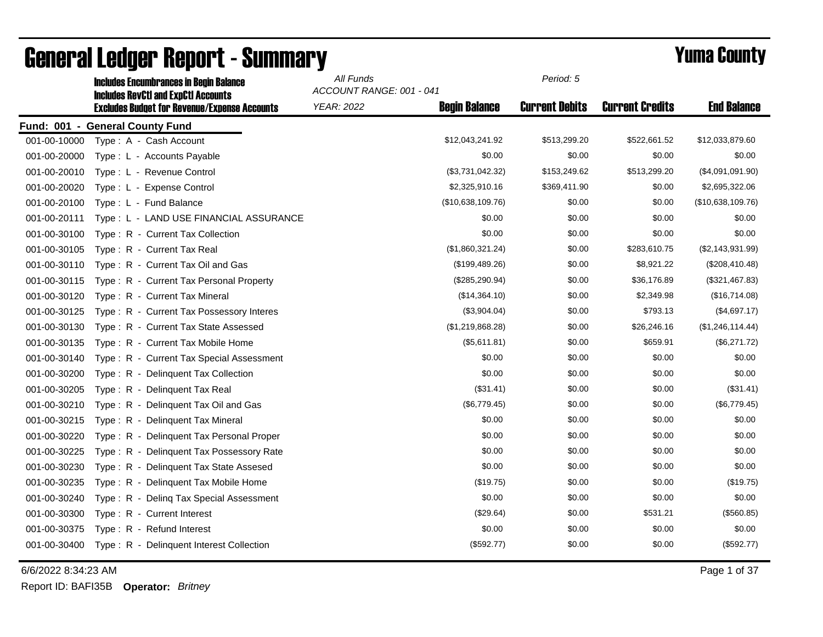|              | <b>Includes Encumbrances in Begin Balance</b><br><b>Includes RevCtI and ExpCtI Accounts</b> | All Funds<br>ACCOUNT RANGE: 001 - 041 |                      | Period: 5             |                        |                    |
|--------------|---------------------------------------------------------------------------------------------|---------------------------------------|----------------------|-----------------------|------------------------|--------------------|
|              | <b>Excludes Budget for Revenue/Expense Accounts</b>                                         | <b>YEAR: 2022</b>                     | <b>Begin Balance</b> | <b>Current Debits</b> | <b>Current Credits</b> | <b>End Balance</b> |
|              | Fund: 001 - General County Fund                                                             |                                       |                      |                       |                        |                    |
| 001-00-10000 | Type: A - Cash Account                                                                      |                                       | \$12,043,241.92      | \$513,299.20          | \$522,661.52           | \$12,033,879.60    |
| 001-00-20000 | Type: L - Accounts Payable                                                                  |                                       | \$0.00               | \$0.00                | \$0.00                 | \$0.00             |
| 001-00-20010 | Type: L - Revenue Control                                                                   |                                       | (\$3,731,042.32)     | \$153,249.62          | \$513,299.20           | (\$4,091,091.90)   |
| 001-00-20020 | Type: L - Expense Control                                                                   |                                       | \$2,325,910.16       | \$369,411.90          | \$0.00                 | \$2,695,322.06     |
| 001-00-20100 | Type: L - Fund Balance                                                                      |                                       | (\$10,638,109.76)    | \$0.00                | \$0.00                 | (\$10,638,109.76)  |
| 001-00-20111 | Type: L - LAND USE FINANCIAL ASSURANCE                                                      |                                       | \$0.00               | \$0.00                | \$0.00                 | \$0.00             |
| 001-00-30100 | Type: R - Current Tax Collection                                                            |                                       | \$0.00               | \$0.00                | \$0.00                 | \$0.00             |
| 001-00-30105 | Type: R - Current Tax Real                                                                  |                                       | (\$1,860,321.24)     | \$0.00                | \$283,610.75           | (\$2,143,931.99)   |
| 001-00-30110 | Type: R - Current Tax Oil and Gas                                                           |                                       | (\$199,489.26)       | \$0.00                | \$8,921.22             | (\$208,410.48)     |
| 001-00-30115 | Type: R - Current Tax Personal Property                                                     |                                       | (\$285, 290.94)      | \$0.00                | \$36,176.89            | (\$321,467.83)     |
| 001-00-30120 | Type: R - Current Tax Mineral                                                               |                                       | (\$14,364.10)        | \$0.00                | \$2,349.98             | (\$16,714.08)      |
| 001-00-30125 | Type: R - Current Tax Possessory Interes                                                    |                                       | (\$3,904.04)         | \$0.00                | \$793.13               | (\$4,697.17)       |
| 001-00-30130 | Type: R - Current Tax State Assessed                                                        |                                       | (\$1,219,868.28)     | \$0.00                | \$26,246.16            | (\$1,246,114.44)   |
| 001-00-30135 | Type: R - Current Tax Mobile Home                                                           |                                       | (\$5,611.81)         | \$0.00                | \$659.91               | (\$6,271.72)       |
| 001-00-30140 | Type: R - Current Tax Special Assessment                                                    |                                       | \$0.00               | \$0.00                | \$0.00                 | \$0.00             |
| 001-00-30200 | Type: R - Delinquent Tax Collection                                                         |                                       | \$0.00               | \$0.00                | \$0.00                 | \$0.00             |
| 001-00-30205 | Type: R - Delinquent Tax Real                                                               |                                       | (\$31.41)            | \$0.00                | \$0.00                 | (\$31.41)          |
| 001-00-30210 | Type: R - Delinguent Tax Oil and Gas                                                        |                                       | (\$6,779.45)         | \$0.00                | \$0.00                 | (\$6,779.45)       |
| 001-00-30215 | Type: R - Delinquent Tax Mineral                                                            |                                       | \$0.00               | \$0.00                | \$0.00                 | \$0.00             |
| 001-00-30220 | Type: R - Delinquent Tax Personal Proper                                                    |                                       | \$0.00               | \$0.00                | \$0.00                 | \$0.00             |
| 001-00-30225 | Type: R - Delinquent Tax Possessory Rate                                                    |                                       | \$0.00               | \$0.00                | \$0.00                 | \$0.00             |
| 001-00-30230 | Type: R - Delinguent Tax State Assesed                                                      |                                       | \$0.00               | \$0.00                | \$0.00                 | \$0.00             |
| 001-00-30235 | Type: R - Delinquent Tax Mobile Home                                                        |                                       | (\$19.75)            | \$0.00                | \$0.00                 | (\$19.75)          |
| 001-00-30240 | Type: R - Deling Tax Special Assessment                                                     |                                       | \$0.00               | \$0.00                | \$0.00                 | \$0.00             |
| 001-00-30300 | Type: R - Current Interest                                                                  |                                       | (\$29.64)            | \$0.00                | \$531.21               | (\$560.85)         |
| 001-00-30375 | Type: R - Refund Interest                                                                   |                                       | \$0.00               | \$0.00                | \$0.00                 | \$0.00             |
| 001-00-30400 | Type: R - Delinquent Interest Collection                                                    |                                       | (\$592.77)           | \$0.00                | \$0.00                 | (\$592.77)         |

# General Ledger Report - Summary **Example 2008** Summatry **Periodic Example 2009**

6/6/2022 8:34:23 AM Page 1 of 37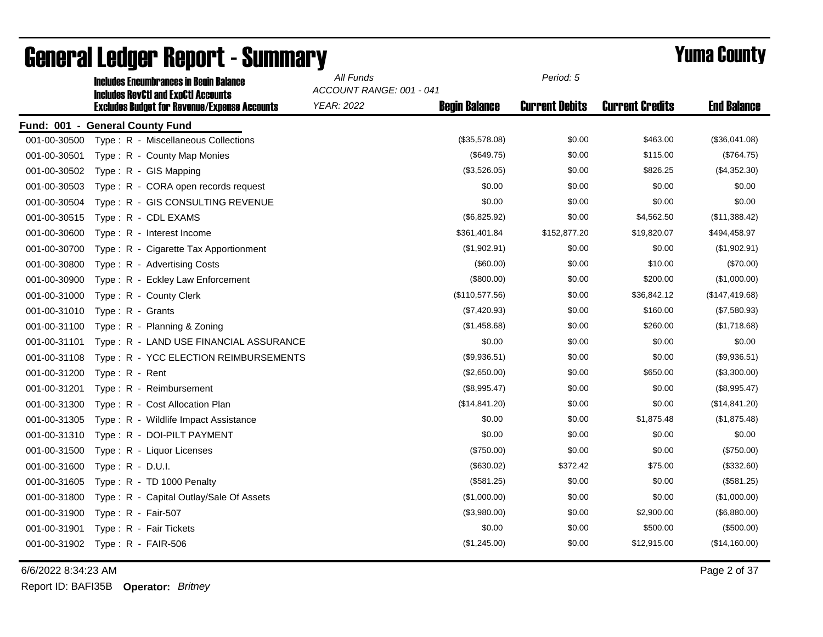|              | <b>Includes Encumbrances in Begin Balance</b><br><b>Includes RevCtI and ExpCtI Accounts</b> | All Funds<br>ACCOUNT RANGE: 001 - 041 |                      | Period: 5             |                        |                    |
|--------------|---------------------------------------------------------------------------------------------|---------------------------------------|----------------------|-----------------------|------------------------|--------------------|
|              | <b>Excludes Budget for Revenue/Expense Accounts</b>                                         | <b>YEAR: 2022</b>                     | <b>Begin Balance</b> | <b>Current Debits</b> | <b>Current Credits</b> | <b>End Balance</b> |
|              | Fund: 001 - General County Fund                                                             |                                       |                      |                       |                        |                    |
| 001-00-30500 | Type: R - Miscellaneous Collections                                                         |                                       | (\$35,578.08)        | \$0.00                | \$463.00               | (\$36,041.08)      |
| 001-00-30501 | Type: R - County Map Monies                                                                 |                                       | (\$649.75)           | \$0.00                | \$115.00               | (\$764.75)         |
| 001-00-30502 | Type: R - GIS Mapping                                                                       |                                       | (\$3,526.05)         | \$0.00                | \$826.25               | (\$4,352.30)       |
| 001-00-30503 | Type: R - CORA open records request                                                         |                                       | \$0.00               | \$0.00                | \$0.00                 | \$0.00             |
| 001-00-30504 | Type: R - GIS CONSULTING REVENUE                                                            |                                       | \$0.00               | \$0.00                | \$0.00                 | \$0.00             |
| 001-00-30515 | Type: R - CDL EXAMS                                                                         |                                       | (\$6,825.92)         | \$0.00                | \$4,562.50             | (\$11,388.42)      |
| 001-00-30600 | Type: R - Interest Income                                                                   |                                       | \$361,401.84         | \$152,877.20          | \$19,820.07            | \$494,458.97       |
| 001-00-30700 | Type: R - Cigarette Tax Apportionment                                                       |                                       | (\$1,902.91)         | \$0.00                | \$0.00                 | (\$1,902.91)       |
| 001-00-30800 | Type: R - Advertising Costs                                                                 |                                       | (\$60.00)            | \$0.00                | \$10.00                | (\$70.00)          |
| 001-00-30900 | Type: R - Eckley Law Enforcement                                                            |                                       | (\$800.00)           | \$0.00                | \$200.00               | (\$1,000.00)       |
| 001-00-31000 | Type: R - County Clerk                                                                      |                                       | (\$110,577.56)       | \$0.00                | \$36,842.12            | (\$147,419.68)     |
| 001-00-31010 | Type: R - Grants                                                                            |                                       | (\$7,420.93)         | \$0.00                | \$160.00               | (\$7,580.93)       |
| 001-00-31100 | Type: R - Planning & Zoning                                                                 |                                       | (\$1,458.68)         | \$0.00                | \$260.00               | (\$1,718.68)       |
| 001-00-31101 | Type: R - LAND USE FINANCIAL ASSURANCE                                                      |                                       | \$0.00               | \$0.00                | \$0.00                 | \$0.00             |
| 001-00-31108 | Type: R - YCC ELECTION REIMBURSEMENTS                                                       |                                       | (\$9,936.51)         | \$0.00                | \$0.00                 | (\$9,936.51)       |
| 001-00-31200 | Type: R - Rent                                                                              |                                       | (\$2,650.00)         | \$0.00                | \$650.00               | (\$3,300.00)       |
| 001-00-31201 | Type: R - Reimbursement                                                                     |                                       | (\$8,995.47)         | \$0.00                | \$0.00                 | (\$8,995.47)       |
| 001-00-31300 | Type: R - Cost Allocation Plan                                                              |                                       | (\$14,841.20)        | \$0.00                | \$0.00                 | (\$14,841.20)      |
| 001-00-31305 | Type: R - Wildlife Impact Assistance                                                        |                                       | \$0.00               | \$0.00                | \$1,875.48             | (\$1,875.48)       |
| 001-00-31310 | Type: R - DOI-PILT PAYMENT                                                                  |                                       | \$0.00               | \$0.00                | \$0.00                 | \$0.00             |
| 001-00-31500 | Type: R - Liquor Licenses                                                                   |                                       | (\$750.00)           | \$0.00                | \$0.00                 | (\$750.00)         |
| 001-00-31600 | Type: $R - D.U.I.$                                                                          |                                       | (\$630.02)           | \$372.42              | \$75.00                | (\$332.60)         |
| 001-00-31605 | Type: R - TD 1000 Penalty                                                                   |                                       | (\$581.25)           | \$0.00                | \$0.00                 | (\$581.25)         |
| 001-00-31800 | Type: R - Capital Outlay/Sale Of Assets                                                     |                                       | (\$1,000.00)         | \$0.00                | \$0.00                 | (\$1,000.00)       |
| 001-00-31900 | Type: R - Fair-507                                                                          |                                       | (\$3,980.00)         | \$0.00                | \$2,900.00             | (\$6,880.00)       |
| 001-00-31901 | Type: R - Fair Tickets                                                                      |                                       | \$0.00               | \$0.00                | \$500.00               | (\$500.00)         |
| 001-00-31902 | Type: $R - FAIR-506$                                                                        |                                       | (\$1,245.00)         | \$0.00                | \$12,915.00            | (\$14,160.00)      |

6/6/2022 8:34:23 AM Page 2 of 37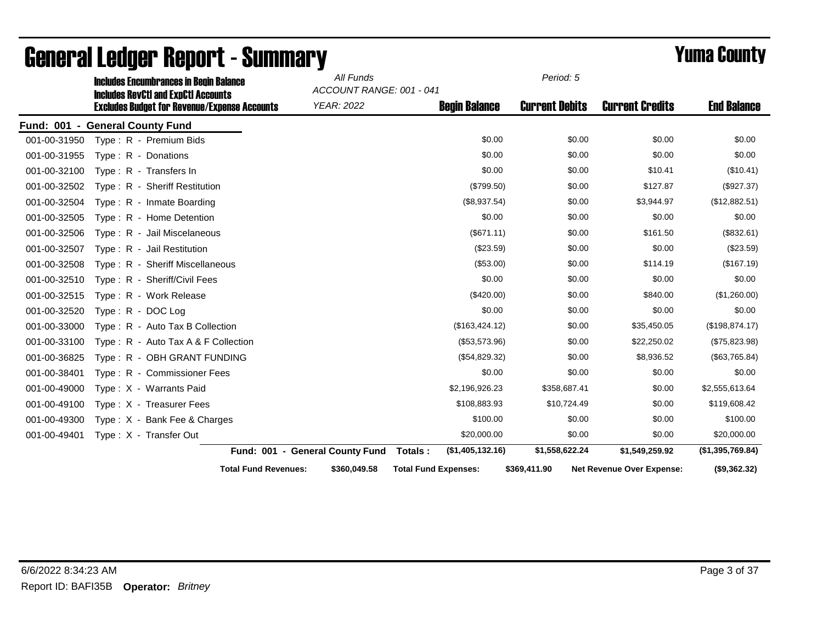|              | <b>Includes Encumbrances in Begin Balance</b>                                                     |                                 | All Funds<br>ACCOUNT RANGE: 001 - 041 |                             | Period: 5             |                                  |                    |
|--------------|---------------------------------------------------------------------------------------------------|---------------------------------|---------------------------------------|-----------------------------|-----------------------|----------------------------------|--------------------|
|              | <b>Includes RevCtI and ExpCtI Accounts</b><br><b>Excludes Budget for Revenue/Expense Accounts</b> |                                 | <b>YEAR: 2022</b>                     | <b>Begin Balance</b>        | <b>Current Debits</b> | <b>Current Credits</b>           | <b>End Balance</b> |
|              | Fund: 001 - General County Fund                                                                   |                                 |                                       |                             |                       |                                  |                    |
| 001-00-31950 | Type: R - Premium Bids                                                                            |                                 |                                       | \$0.00                      | \$0.00                | \$0.00                           | \$0.00             |
| 001-00-31955 | Type: R - Donations                                                                               |                                 |                                       | \$0.00                      | \$0.00                | \$0.00                           | \$0.00             |
| 001-00-32100 | Type: R - Transfers In                                                                            |                                 |                                       | \$0.00                      | \$0.00                | \$10.41                          | (\$10.41)          |
| 001-00-32502 | Type: R - Sheriff Restitution                                                                     |                                 |                                       | (\$799.50)                  | \$0.00                | \$127.87                         | (\$927.37)         |
| 001-00-32504 | Type: R - Inmate Boarding                                                                         |                                 |                                       | (\$8,937.54)                | \$0.00                | \$3,944.97                       | (\$12,882.51)      |
| 001-00-32505 | Type: R - Home Detention                                                                          |                                 |                                       | \$0.00                      | \$0.00                | \$0.00                           | \$0.00             |
| 001-00-32506 | Type: R - Jail Miscelaneous                                                                       |                                 |                                       | (\$671.11)                  | \$0.00                | \$161.50                         | (\$832.61)         |
| 001-00-32507 | Type: R - Jail Restitution                                                                        |                                 |                                       | (\$23.59)                   | \$0.00                | \$0.00                           | (\$23.59)          |
| 001-00-32508 | Type: R - Sheriff Miscellaneous                                                                   |                                 |                                       | (\$53.00)                   | \$0.00                | \$114.19                         | (\$167.19)         |
| 001-00-32510 | Type: R - Sheriff/Civil Fees                                                                      |                                 |                                       | \$0.00                      | \$0.00                | \$0.00                           | \$0.00             |
| 001-00-32515 | Type: R - Work Release                                                                            |                                 |                                       | $(\$420.00)$                | \$0.00                | \$840.00                         | (\$1,260.00)       |
| 001-00-32520 | Type: R - DOC Log                                                                                 |                                 |                                       | \$0.00                      | \$0.00                | \$0.00                           | \$0.00             |
| 001-00-33000 | Type: R - Auto Tax B Collection                                                                   |                                 |                                       | (\$163,424.12)              | \$0.00                | \$35,450.05                      | (\$198,874.17)     |
| 001-00-33100 | Type: R - Auto Tax A & F Collection                                                               |                                 |                                       | (\$53,573.96)               | \$0.00                | \$22,250.02                      | (\$75,823.98)      |
| 001-00-36825 | Type: R - OBH GRANT FUNDING                                                                       |                                 |                                       | (\$54,829.32)               | \$0.00                | \$8,936.52                       | (\$63,765.84)      |
| 001-00-38401 | Type: R - Commissioner Fees                                                                       |                                 |                                       | \$0.00                      | \$0.00                | \$0.00                           | \$0.00             |
| 001-00-49000 | Type: X - Warrants Paid                                                                           |                                 |                                       | \$2,196,926.23              | \$358,687.41          | \$0.00                           | \$2,555,613.64     |
| 001-00-49100 | Type: X - Treasurer Fees                                                                          |                                 |                                       | \$108,883.93                | \$10,724.49           | \$0.00                           | \$119,608.42       |
| 001-00-49300 | Type: X - Bank Fee & Charges                                                                      |                                 |                                       | \$100.00                    | \$0.00                | \$0.00                           | \$100.00           |
| 001-00-49401 | Type: X - Transfer Out                                                                            |                                 |                                       | \$20,000.00                 | \$0.00                | \$0.00                           | \$20,000.00        |
|              |                                                                                                   | Fund: 001 - General County Fund |                                       | (\$1,405,132.16)<br>Totals: | \$1,558,622.24        | \$1,549,259.92                   | (\$1,395,769.84)   |
|              |                                                                                                   | <b>Total Fund Revenues:</b>     | \$360,049.58                          | <b>Total Fund Expenses:</b> | \$369,411.90          | <b>Net Revenue Over Expense:</b> | (\$9,362.32)       |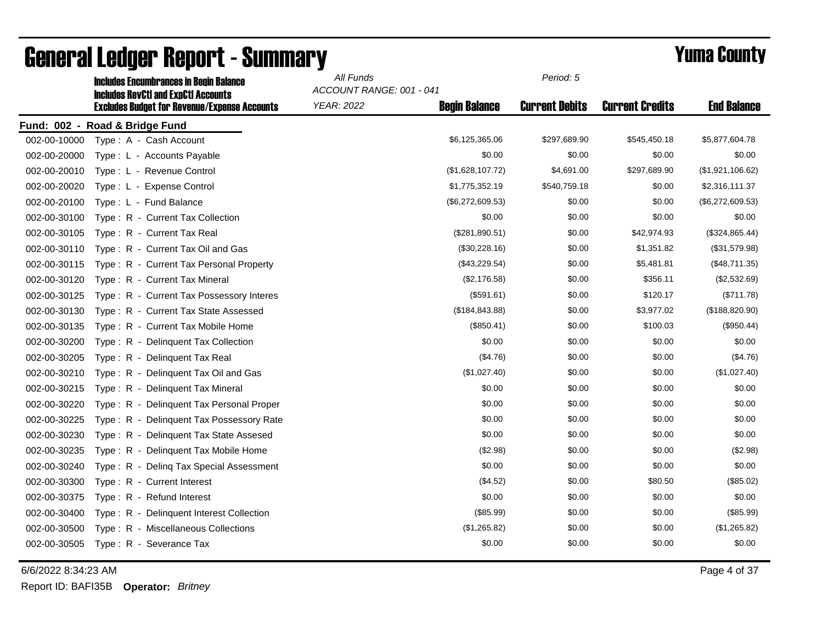|              | <b>Includes Encumbrances in Begin Balance</b><br><b>Includes RevCtI and ExpCtI Accounts</b> | All Funds<br>ACCOUNT RANGE: 001 - 041 |                      | Period: 5             |                        |                    |
|--------------|---------------------------------------------------------------------------------------------|---------------------------------------|----------------------|-----------------------|------------------------|--------------------|
|              | <b>Excludes Budget for Revenue/Expense Accounts</b>                                         | <b>YEAR: 2022</b>                     | <b>Begin Balance</b> | <b>Current Debits</b> | <b>Current Credits</b> | <b>End Balance</b> |
|              | Fund: 002 - Road & Bridge Fund                                                              |                                       |                      |                       |                        |                    |
| 002-00-10000 | Type: A - Cash Account                                                                      |                                       | \$6,125,365.06       | \$297,689.90          | \$545,450.18           | \$5,877,604.78     |
| 002-00-20000 | Type: L - Accounts Payable                                                                  |                                       | \$0.00               | \$0.00                | \$0.00                 | \$0.00             |
| 002-00-20010 | Type: L - Revenue Control                                                                   |                                       | (\$1,628,107.72)     | \$4,691.00            | \$297,689.90           | (\$1,921,106.62)   |
| 002-00-20020 | Type: L - Expense Control                                                                   |                                       | \$1,775,352.19       | \$540,759.18          | \$0.00                 | \$2,316,111.37     |
| 002-00-20100 | Type: L - Fund Balance                                                                      |                                       | (\$6,272,609.53)     | \$0.00                | \$0.00                 | (\$6,272,609.53)   |
| 002-00-30100 | Type: R - Current Tax Collection                                                            |                                       | \$0.00               | \$0.00                | \$0.00                 | \$0.00             |
| 002-00-30105 | Type: R - Current Tax Real                                                                  |                                       | (\$281,890.51)       | \$0.00                | \$42,974.93            | (\$324,865.44)     |
| 002-00-30110 | Type: R - Current Tax Oil and Gas                                                           |                                       | (\$30,228.16)        | \$0.00                | \$1,351.82             | (\$31,579.98)      |
| 002-00-30115 | Type: R - Current Tax Personal Property                                                     |                                       | (\$43,229.54)        | \$0.00                | \$5,481.81             | (\$48,711.35)      |
| 002-00-30120 | Type: R - Current Tax Mineral                                                               |                                       | (\$2,176.58)         | \$0.00                | \$356.11               | (\$2,532.69)       |
| 002-00-30125 | Type: R - Current Tax Possessory Interes                                                    |                                       | (\$591.61)           | \$0.00                | \$120.17               | (\$711.78)         |
| 002-00-30130 | Type: R - Current Tax State Assessed                                                        |                                       | (\$184, 843.88)      | \$0.00                | \$3,977.02             | (\$188, 820.90)    |
| 002-00-30135 | Type: R - Current Tax Mobile Home                                                           |                                       | (\$850.41)           | \$0.00                | \$100.03               | (\$950.44)         |
| 002-00-30200 | Type: R - Delinquent Tax Collection                                                         |                                       | \$0.00               | \$0.00                | \$0.00                 | \$0.00             |
| 002-00-30205 | Type: R - Delinquent Tax Real                                                               |                                       | (\$4.76)             | \$0.00                | \$0.00                 | (\$4.76)           |
| 002-00-30210 | Type: R - Delinquent Tax Oil and Gas                                                        |                                       | (\$1,027.40)         | \$0.00                | \$0.00                 | (\$1,027.40)       |
| 002-00-30215 | Type: R - Delinquent Tax Mineral                                                            |                                       | \$0.00               | \$0.00                | \$0.00                 | \$0.00             |
| 002-00-30220 | Type: R - Delinquent Tax Personal Proper                                                    |                                       | \$0.00               | \$0.00                | \$0.00                 | \$0.00             |
| 002-00-30225 | Type: R - Delinquent Tax Possessory Rate                                                    |                                       | \$0.00               | \$0.00                | \$0.00                 | \$0.00             |
| 002-00-30230 | Type: R - Delinguent Tax State Assesed                                                      |                                       | \$0.00               | \$0.00                | \$0.00                 | \$0.00             |
| 002-00-30235 | Type: R - Delinquent Tax Mobile Home                                                        |                                       | (\$2.98)             | \$0.00                | \$0.00                 | (\$2.98)           |
| 002-00-30240 | Type: R - Deling Tax Special Assessment                                                     |                                       | \$0.00               | \$0.00                | \$0.00                 | \$0.00             |
| 002-00-30300 | Type: R - Current Interest                                                                  |                                       | (\$4.52)             | \$0.00                | \$80.50                | (\$85.02)          |
| 002-00-30375 | Type: R - Refund Interest                                                                   |                                       | \$0.00               | \$0.00                | \$0.00                 | \$0.00             |
| 002-00-30400 | Type: R - Delinquent Interest Collection                                                    |                                       | (\$85.99)            | \$0.00                | \$0.00                 | (\$85.99)          |
| 002-00-30500 | Type: R - Miscellaneous Collections                                                         |                                       | (\$1,265.82)         | \$0.00                | \$0.00                 | (\$1,265.82)       |
| 002-00-30505 | Type: R - Severance Tax                                                                     |                                       | \$0.00               | \$0.00                | \$0.00                 | \$0.00             |

6/6/2022 8:34:23 AM Page 4 of 37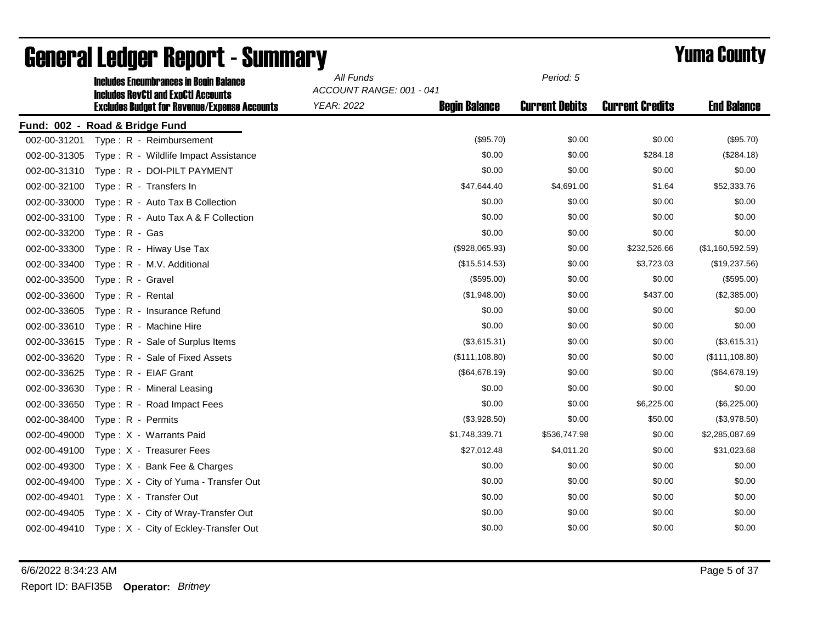|              | <b>Includes Encumbrances in Begin Balance</b><br><b>Includes RevCtI and ExpCtI Accounts</b> | All Funds  | ACCOUNT RANGE: 001 - 041 |                       |                        |                    |
|--------------|---------------------------------------------------------------------------------------------|------------|--------------------------|-----------------------|------------------------|--------------------|
|              | <b>Excludes Budget for Revenue/Expense Accounts</b>                                         | YEAR: 2022 | <b>Begin Balance</b>     | <b>Current Debits</b> | <b>Current Credits</b> | <b>End Balance</b> |
|              | Fund: 002 - Road & Bridge Fund                                                              |            |                          |                       |                        |                    |
| 002-00-31201 | Type: R - Reimbursement                                                                     |            | (\$95.70)                | \$0.00                | \$0.00                 | (\$95.70)          |
| 002-00-31305 | Type: R - Wildlife Impact Assistance                                                        |            | \$0.00                   | \$0.00                | \$284.18               | (\$284.18)         |
| 002-00-31310 | Type: R - DOI-PILT PAYMENT                                                                  |            | \$0.00                   | \$0.00                | \$0.00                 | \$0.00             |
| 002-00-32100 | Type: R - Transfers In                                                                      |            | \$47,644.40              | \$4,691.00            | \$1.64                 | \$52,333.76        |
| 002-00-33000 | Type: R - Auto Tax B Collection                                                             |            | \$0.00                   | \$0.00                | \$0.00                 | \$0.00             |
| 002-00-33100 | Type: R - Auto Tax A & F Collection                                                         |            | \$0.00                   | \$0.00                | \$0.00                 | \$0.00             |
| 002-00-33200 | Type: R - Gas                                                                               |            | \$0.00                   | \$0.00                | \$0.00                 | \$0.00             |
| 002-00-33300 | Type: R - Hiway Use Tax                                                                     |            | (\$928,065.93)           | \$0.00                | \$232,526.66           | (\$1,160,592.59)   |
| 002-00-33400 | Type: R - M.V. Additional                                                                   |            | (\$15,514.53)            | \$0.00                | \$3,723.03             | (\$19,237.56)      |
| 002-00-33500 | Type: R - Gravel                                                                            |            | (\$595.00)               | \$0.00                | \$0.00                 | (\$595.00)         |
| 002-00-33600 | Type: R - Rental                                                                            |            | (\$1,948.00)             | \$0.00                | \$437.00               | (\$2,385.00)       |
| 002-00-33605 | Type: R - Insurance Refund                                                                  |            | \$0.00                   | \$0.00                | \$0.00                 | \$0.00             |
| 002-00-33610 | Type: R - Machine Hire                                                                      |            | \$0.00                   | \$0.00                | \$0.00                 | \$0.00             |
| 002-00-33615 | Type: R - Sale of Surplus Items                                                             |            | (\$3,615.31)             | \$0.00                | \$0.00                 | (\$3,615.31)       |
| 002-00-33620 | Type: R - Sale of Fixed Assets                                                              |            | (\$111,108.80)           | \$0.00                | \$0.00                 | (\$111,108.80)     |
| 002-00-33625 | Type: R - EIAF Grant                                                                        |            | (\$64,678.19)            | \$0.00                | \$0.00                 | (\$64,678.19)      |
| 002-00-33630 | Type: R - Mineral Leasing                                                                   |            | \$0.00                   | \$0.00                | \$0.00                 | \$0.00             |
| 002-00-33650 | Type: R - Road Impact Fees                                                                  |            | \$0.00                   | \$0.00                | \$6,225.00             | (\$6,225.00)       |
| 002-00-38400 | Type: R - Permits                                                                           |            | (\$3,928.50)             | \$0.00                | \$50.00                | (\$3,978.50)       |
| 002-00-49000 | Type: X - Warrants Paid                                                                     |            | \$1,748,339.71           | \$536,747.98          | \$0.00                 | \$2,285,087.69     |
| 002-00-49100 | Type: X - Treasurer Fees                                                                    |            | \$27,012.48              | \$4,011.20            | \$0.00                 | \$31,023.68        |
| 002-00-49300 | Type: X - Bank Fee & Charges                                                                |            | \$0.00                   | \$0.00                | \$0.00                 | \$0.00             |
| 002-00-49400 | Type: X - City of Yuma - Transfer Out                                                       |            | \$0.00                   | \$0.00                | \$0.00                 | \$0.00             |
| 002-00-49401 | Type: X - Transfer Out                                                                      |            | \$0.00                   | \$0.00                | \$0.00                 | \$0.00             |
| 002-00-49405 | Type: X - City of Wray-Transfer Out                                                         |            | \$0.00                   | \$0.00                | \$0.00                 | \$0.00             |
| 002-00-49410 | Type: X - City of Eckley-Transfer Out                                                       |            | \$0.00                   | \$0.00                | \$0.00                 | \$0.00             |

6/6/2022 8:34:23 AM Page 5 of 37 Report ID: BAFI35B **Operator:** *Britney*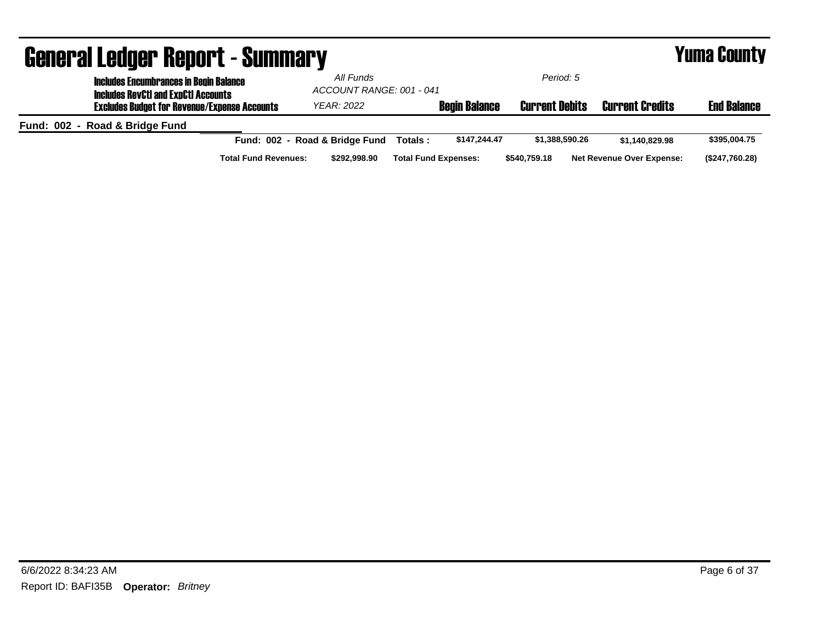|                                                     | <b>General Ledger Report - Summary</b>                                                      |                                |                                                    |                             |                       |                        |                                  | <b>Yuma County</b> |
|-----------------------------------------------------|---------------------------------------------------------------------------------------------|--------------------------------|----------------------------------------------------|-----------------------------|-----------------------|------------------------|----------------------------------|--------------------|
|                                                     | <b>Includes Encumbrances in Begin Balance</b><br><b>Includes RevCtI and ExpCtI Accounts</b> |                                | Period: 5<br>All Funds<br>ACCOUNT RANGE: 001 - 041 |                             |                       |                        |                                  |                    |
| <b>Excludes Budget for Revenue/Expense Accounts</b> |                                                                                             | <b>YEAR: 2022</b>              |                                                    | <b>Begin Balance</b>        | <b>Current Debits</b> | <b>Current Credits</b> | <b>End Balance</b>               |                    |
|                                                     | Fund: 002 - Road & Bridge Fund                                                              |                                |                                                    |                             |                       |                        |                                  |                    |
|                                                     |                                                                                             | Fund: 002 - Road & Bridge Fund |                                                    | Totals :                    | \$147.244.47          | \$1,388,590.26         | \$1.140.829.98                   | \$395,004.75       |
|                                                     |                                                                                             | <b>Total Fund Revenues:</b>    | \$292.998.90                                       | <b>Total Fund Expenses:</b> |                       | \$540,759.18           | <b>Net Revenue Over Expense:</b> | (\$247,760.28)     |

## 6/6/2022 8:34:23 AM Page 6 of 37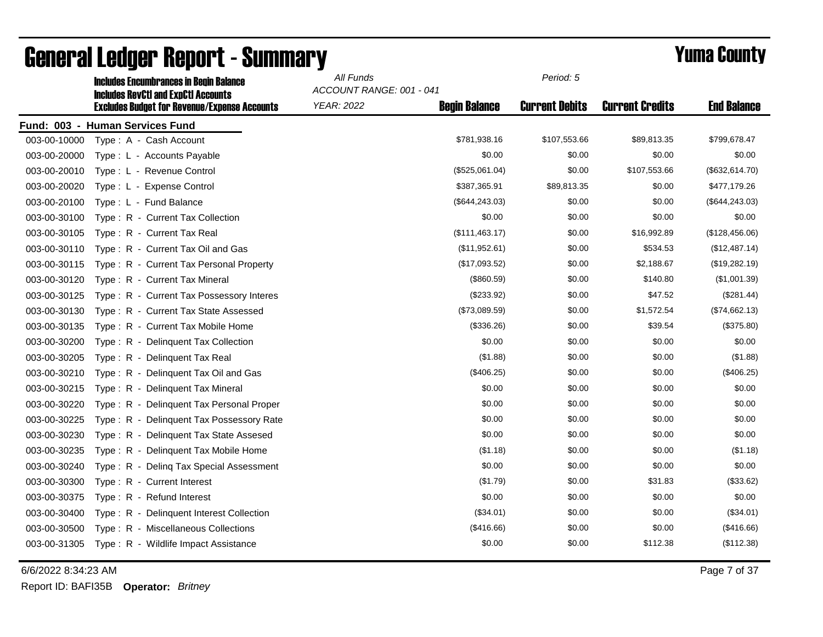|              | <b>Includes Encumbrances in Begin Balance</b><br><b>Includes RevCtI and ExpCtI Accounts</b> | All Funds<br>ACCOUNT RANGE: 001 - 041 |                      |                       |                        |                    |
|--------------|---------------------------------------------------------------------------------------------|---------------------------------------|----------------------|-----------------------|------------------------|--------------------|
|              | <b>Excludes Budget for Revenue/Expense Accounts</b>                                         | <b>YEAR: 2022</b>                     | <b>Begin Balance</b> | <b>Current Debits</b> | <b>Current Credits</b> | <b>End Balance</b> |
|              | Fund: 003 - Human Services Fund                                                             |                                       |                      |                       |                        |                    |
| 003-00-10000 | Type: A - Cash Account                                                                      |                                       | \$781,938.16         | \$107,553.66          | \$89,813.35            | \$799,678.47       |
| 003-00-20000 | Type: L - Accounts Payable                                                                  |                                       | \$0.00               | \$0.00                | \$0.00                 | \$0.00             |
| 003-00-20010 | Type: L - Revenue Control                                                                   |                                       | (\$525,061.04)       | \$0.00                | \$107,553.66           | (\$632, 614.70)    |
| 003-00-20020 | Type: L - Expense Control                                                                   |                                       | \$387,365.91         | \$89,813.35           | \$0.00                 | \$477,179.26       |
| 003-00-20100 | Type: L - Fund Balance                                                                      |                                       | (\$644, 243.03)      | \$0.00                | \$0.00                 | (\$644, 243.03)    |
| 003-00-30100 | Type: R - Current Tax Collection                                                            |                                       | \$0.00               | \$0.00                | \$0.00                 | \$0.00             |
| 003-00-30105 | Type: R - Current Tax Real                                                                  |                                       | (\$111,463.17)       | \$0.00                | \$16,992.89            | (\$128,456.06)     |
| 003-00-30110 | Type: R - Current Tax Oil and Gas                                                           |                                       | (\$11,952.61)        | \$0.00                | \$534.53               | (\$12,487.14)      |
| 003-00-30115 | Type: R - Current Tax Personal Property                                                     |                                       | (\$17,093.52)        | \$0.00                | \$2,188.67             | (\$19,282.19)      |
| 003-00-30120 | Type: R - Current Tax Mineral                                                               |                                       | (\$860.59)           | \$0.00                | \$140.80               | (\$1,001.39)       |
| 003-00-30125 | Type: R - Current Tax Possessory Interes                                                    |                                       | (\$233.92)           | \$0.00                | \$47.52                | (\$281.44)         |
| 003-00-30130 | Type: R - Current Tax State Assessed                                                        |                                       | (\$73,089.59)        | \$0.00                | \$1,572.54             | (\$74,662.13)      |
| 003-00-30135 | Type: R - Current Tax Mobile Home                                                           |                                       | (\$336.26)           | \$0.00                | \$39.54                | (\$375.80)         |
| 003-00-30200 | Type: R - Delinquent Tax Collection                                                         |                                       | \$0.00               | \$0.00                | \$0.00                 | \$0.00             |
| 003-00-30205 | Type: R - Delinquent Tax Real                                                               |                                       | (\$1.88)             | \$0.00                | \$0.00                 | (\$1.88)           |
| 003-00-30210 | Type: R - Delinquent Tax Oil and Gas                                                        |                                       | (\$406.25)           | \$0.00                | \$0.00                 | (\$406.25)         |
| 003-00-30215 | Type: R - Delinquent Tax Mineral                                                            |                                       | \$0.00               | \$0.00                | \$0.00                 | \$0.00             |
| 003-00-30220 | Type: R - Delinquent Tax Personal Proper                                                    |                                       | \$0.00               | \$0.00                | \$0.00                 | \$0.00             |
| 003-00-30225 | Type: R - Delinguent Tax Possessory Rate                                                    |                                       | \$0.00               | \$0.00                | \$0.00                 | \$0.00             |
| 003-00-30230 | Type: R - Delinquent Tax State Assesed                                                      |                                       | \$0.00               | \$0.00                | \$0.00                 | \$0.00             |
| 003-00-30235 | Type: R - Delinquent Tax Mobile Home                                                        |                                       | (\$1.18)             | \$0.00                | \$0.00                 | (\$1.18)           |
| 003-00-30240 | Type: R - Deling Tax Special Assessment                                                     |                                       | \$0.00               | \$0.00                | \$0.00                 | \$0.00             |
| 003-00-30300 | Type: R - Current Interest                                                                  |                                       | (\$1.79)             | \$0.00                | \$31.83                | (\$33.62)          |
| 003-00-30375 | Type: R - Refund Interest                                                                   |                                       | \$0.00               | \$0.00                | \$0.00                 | \$0.00             |
| 003-00-30400 | Type: R - Delinquent Interest Collection                                                    |                                       | (\$34.01)            | \$0.00                | \$0.00                 | (\$34.01)          |
| 003-00-30500 | Type: R - Miscellaneous Collections                                                         |                                       | (\$416.66)           | \$0.00                | \$0.00                 | (\$416.66)         |
| 003-00-31305 | Type: R - Wildlife Impact Assistance                                                        |                                       | \$0.00               | \$0.00                | \$112.38               | (\$112.38)         |

6/6/2022 8:34:23 AM Page 7 of 37

Report ID: BAFI35B **Operator:** *Britney*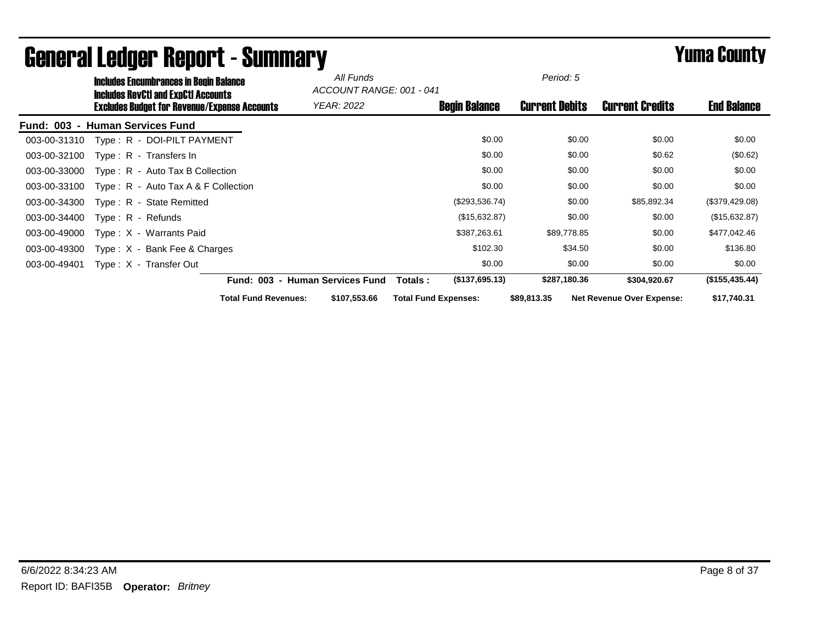| <b>Includes Encumbrances in Begin Balance</b>                                                     | All Funds<br>ACCOUNT RANGE: 001 - 041 |                             | Period: 5             |                                  |                    |
|---------------------------------------------------------------------------------------------------|---------------------------------------|-----------------------------|-----------------------|----------------------------------|--------------------|
| <b>Includes RevCtI and ExpCtI Accounts</b><br><b>Excludes Budget for Revenue/Expense Accounts</b> | <b>YEAR: 2022</b>                     | <b>Begin Balance</b>        | <b>Current Debits</b> | <b>Current Credits</b>           | <b>End Balance</b> |
| - Human Services Fund<br><b>Fund: 003</b>                                                         |                                       |                             |                       |                                  |                    |
| Type: R - DOI-PILT PAYMENT<br>003-00-31310                                                        |                                       | \$0.00                      | \$0.00                | \$0.00                           | \$0.00             |
| 003-00-32100<br>Type: R - Transfers In                                                            |                                       | \$0.00                      | \$0.00                | \$0.62                           | (\$0.62)           |
| 003-00-33000<br>$Type: R - Auto Tax B Collection$                                                 |                                       | \$0.00                      | \$0.00                | \$0.00                           | \$0.00             |
| Type: $R -$ Auto Tax A & F Collection<br>003-00-33100                                             |                                       | \$0.00                      | \$0.00                | \$0.00                           | \$0.00             |
| Type: R - State Remitted<br>003-00-34300                                                          |                                       | (\$293,536.74)              | \$0.00                | \$85,892.34                      | (\$379,429.08)     |
| 003-00-34400<br>$Type: R - Refunds$                                                               |                                       | (\$15,632.87)               | \$0.00                | \$0.00                           | (\$15,632.87)      |
| Type: X - Warrants Paid<br>003-00-49000                                                           |                                       | \$387,263.61                | \$89,778.85           | \$0.00                           | \$477,042.46       |
| 003-00-49300<br>Type: $X -$ Bank Fee & Charges                                                    |                                       | \$102.30                    | \$34.50               | \$0.00                           | \$136.80           |
| 003-00-49401<br>Type: X - Transfer Out                                                            |                                       | \$0.00                      | \$0.00                | \$0.00                           | \$0.00             |
|                                                                                                   | Fund: 003 - Human Services Fund       | (\$137,695.13)<br>Totals :  | \$287,180.36          | \$304,920.67                     | (\$155,435.44)     |
| <b>Total Fund Revenues:</b>                                                                       | \$107,553.66                          | <b>Total Fund Expenses:</b> | \$89,813.35           | <b>Net Revenue Over Expense:</b> | \$17,740.31        |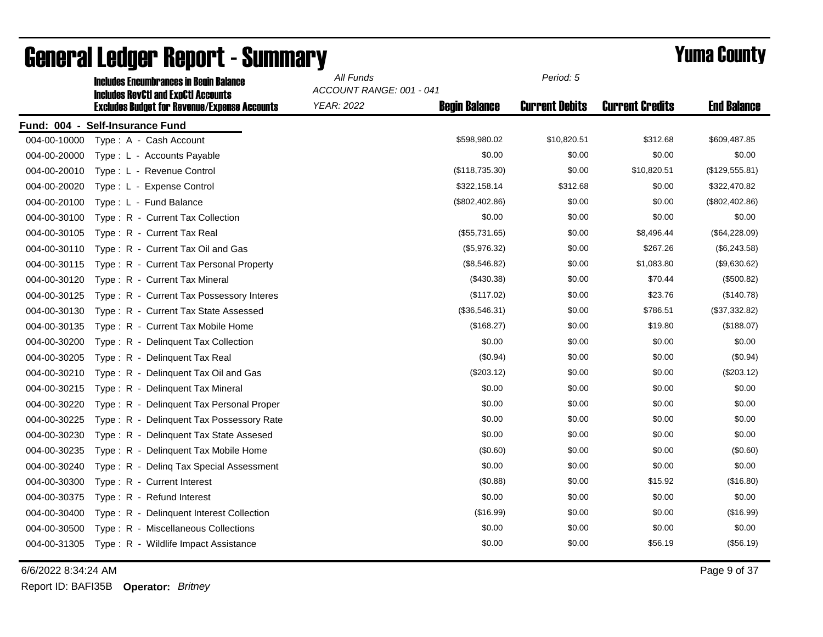|              | <b>Includes Encumbrances in Begin Balance</b><br><b>Includes RevCtI and ExpCtI Accounts</b> | All Funds         | ACCOUNT RANGE: 001 - 041 |                       |                        |                    |
|--------------|---------------------------------------------------------------------------------------------|-------------------|--------------------------|-----------------------|------------------------|--------------------|
|              | <b>Excludes Budget for Revenue/Expense Accounts</b>                                         | <b>YEAR: 2022</b> | <b>Begin Balance</b>     | <b>Current Debits</b> | <b>Current Credits</b> | <b>End Balance</b> |
|              | Fund: 004 - Self-Insurance Fund                                                             |                   |                          |                       |                        |                    |
| 004-00-10000 | Type: A - Cash Account                                                                      |                   | \$598,980.02             | \$10,820.51           | \$312.68               | \$609,487.85       |
| 004-00-20000 | Type: L - Accounts Payable                                                                  |                   | \$0.00                   | \$0.00                | \$0.00                 | \$0.00             |
| 004-00-20010 | Type: L - Revenue Control                                                                   |                   | (\$118,735.30)           | \$0.00                | \$10,820.51            | (\$129,555.81)     |
| 004-00-20020 | Type: L - Expense Control                                                                   |                   | \$322,158.14             | \$312.68              | \$0.00                 | \$322,470.82       |
| 004-00-20100 | Type: L - Fund Balance                                                                      |                   | $(\$802,402.86)$         | \$0.00                | \$0.00                 | (\$802,402.86)     |
| 004-00-30100 | Type: R - Current Tax Collection                                                            |                   | \$0.00                   | \$0.00                | \$0.00                 | \$0.00             |
| 004-00-30105 | Type: R - Current Tax Real                                                                  |                   | (\$55,731.65)            | \$0.00                | \$8,496.44             | (\$64,228.09)      |
| 004-00-30110 | Type: R - Current Tax Oil and Gas                                                           |                   | (\$5,976.32)             | \$0.00                | \$267.26               | (\$6,243.58)       |
| 004-00-30115 | Type: R - Current Tax Personal Property                                                     |                   | (\$8,546.82)             | \$0.00                | \$1,083.80             | (\$9,630.62)       |
| 004-00-30120 | Type: R - Current Tax Mineral                                                               |                   | $(\$430.38)$             | \$0.00                | \$70.44                | (\$500.82)         |
| 004-00-30125 | Type: R - Current Tax Possessory Interes                                                    |                   | (\$117.02)               | \$0.00                | \$23.76                | (\$140.78)         |
| 004-00-30130 | Type: R - Current Tax State Assessed                                                        |                   | (\$36,546.31)            | \$0.00                | \$786.51               | (\$37,332.82)      |
| 004-00-30135 | Type: R - Current Tax Mobile Home                                                           |                   | (\$168.27)               | \$0.00                | \$19.80                | (\$188.07)         |
| 004-00-30200 | Type: R - Delinquent Tax Collection                                                         |                   | \$0.00                   | \$0.00                | \$0.00                 | \$0.00             |
| 004-00-30205 | Type: R - Delinquent Tax Real                                                               |                   | (\$0.94)                 | \$0.00                | \$0.00                 | $(\$0.94)$         |
| 004-00-30210 | Type: R - Delinquent Tax Oil and Gas                                                        |                   | (\$203.12)               | \$0.00                | \$0.00                 | (\$203.12)         |
| 004-00-30215 | Type: R - Delinquent Tax Mineral                                                            |                   | \$0.00                   | \$0.00                | \$0.00                 | \$0.00             |
| 004-00-30220 | Type: R - Delinquent Tax Personal Proper                                                    |                   | \$0.00                   | \$0.00                | \$0.00                 | \$0.00             |
| 004-00-30225 | Type: R - Delinquent Tax Possessory Rate                                                    |                   | \$0.00                   | \$0.00                | \$0.00                 | \$0.00             |
| 004-00-30230 | Type: R - Delinquent Tax State Assesed                                                      |                   | \$0.00                   | \$0.00                | \$0.00                 | \$0.00             |
| 004-00-30235 | Type: R - Delinquent Tax Mobile Home                                                        |                   | (\$0.60)                 | \$0.00                | \$0.00                 | (\$0.60)           |
| 004-00-30240 | Type: R - Deling Tax Special Assessment                                                     |                   | \$0.00                   | \$0.00                | \$0.00                 | \$0.00             |
| 004-00-30300 | Type: R - Current Interest                                                                  |                   | (\$0.88)                 | \$0.00                | \$15.92                | (\$16.80)          |
| 004-00-30375 | Type: R - Refund Interest                                                                   |                   | \$0.00                   | \$0.00                | \$0.00                 | \$0.00             |
| 004-00-30400 | Type: R - Delinquent Interest Collection                                                    |                   | (\$16.99)                | \$0.00                | \$0.00                 | (\$16.99)          |
| 004-00-30500 | Type: R - Miscellaneous Collections                                                         |                   | \$0.00                   | \$0.00                | \$0.00                 | \$0.00             |
| 004-00-31305 | Type: R - Wildlife Impact Assistance                                                        |                   | \$0.00                   | \$0.00                | \$56.19                | (\$56.19)          |

6/6/2022 8:34:24 AM Page 9 of 37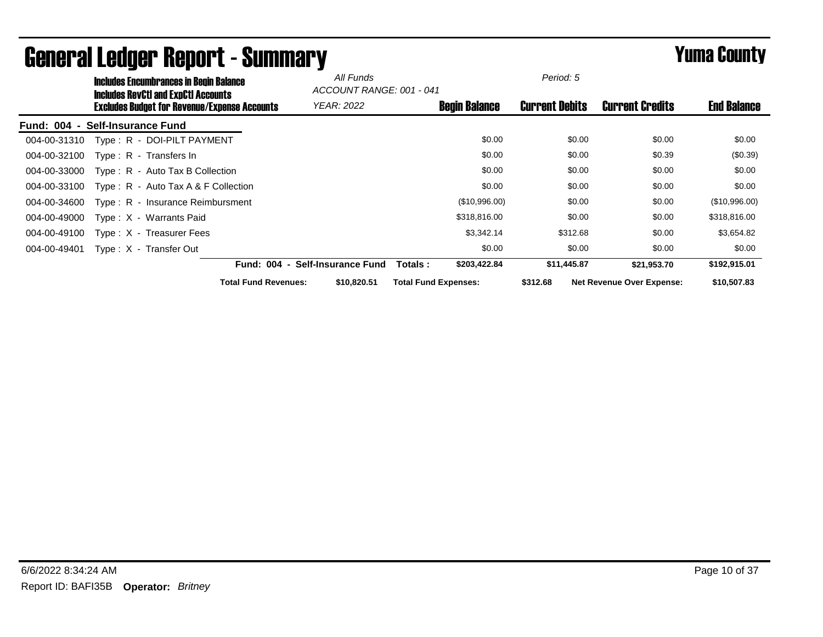|              | <b>Includes Encumbrances in Begin Balance</b><br><b>Includes RevCtI and ExpCtI Accounts</b> |                             | All Funds<br>ACCOUNT RANGE: 001 - 041 |                             | Period: 5             |                                  |                    |
|--------------|---------------------------------------------------------------------------------------------|-----------------------------|---------------------------------------|-----------------------------|-----------------------|----------------------------------|--------------------|
|              | <b>Excludes Budget for Revenue/Expense Accounts</b>                                         |                             | <b>YEAR: 2022</b>                     | <b>Begin Balance</b>        | <b>Current Debits</b> | <b>Current Credits</b>           | <b>End Balance</b> |
|              | Fund: 004 - Self-Insurance Fund                                                             |                             |                                       |                             |                       |                                  |                    |
| 004-00-31310 | Type: R - DOI-PILT PAYMENT                                                                  |                             |                                       | \$0.00                      | \$0.00                | \$0.00                           | \$0.00             |
| 004-00-32100 | Type: R - Transfers In                                                                      |                             |                                       | \$0.00                      | \$0.00                | \$0.39                           | $(\$0.39)$         |
| 004-00-33000 | $Type: R - Auto Tax B Collection$                                                           |                             |                                       | \$0.00                      | \$0.00                | \$0.00                           | \$0.00             |
| 004-00-33100 | Type: $R -$ Auto Tax A & F Collection                                                       |                             |                                       | \$0.00                      | \$0.00                | \$0.00                           | \$0.00             |
| 004-00-34600 | Type: R - Insurance Reimbursment                                                            |                             |                                       | (\$10,996.00)               | \$0.00                | \$0.00                           | (\$10,996.00)      |
| 004-00-49000 | Type: X - Warrants Paid                                                                     |                             |                                       | \$318,816.00                | \$0.00                | \$0.00                           | \$318,816.00       |
| 004-00-49100 | Type: X - Treasurer Fees                                                                    |                             |                                       | \$3,342.14                  | \$312.68              | \$0.00                           | \$3,654.82         |
| 004-00-49401 | Type: X - Transfer Out                                                                      |                             |                                       | \$0.00                      | \$0.00                | \$0.00                           | \$0.00             |
|              |                                                                                             | <b>Fund: 004</b><br>$\sim$  | <b>Self-Insurance Fund</b>            | \$203,422.84<br>Totals:     | \$11,445.87           | \$21,953.70                      | \$192,915.01       |
|              |                                                                                             | <b>Total Fund Revenues:</b> | \$10,820.51                           | <b>Total Fund Expenses:</b> | \$312.68              | <b>Net Revenue Over Expense:</b> | \$10,507.83        |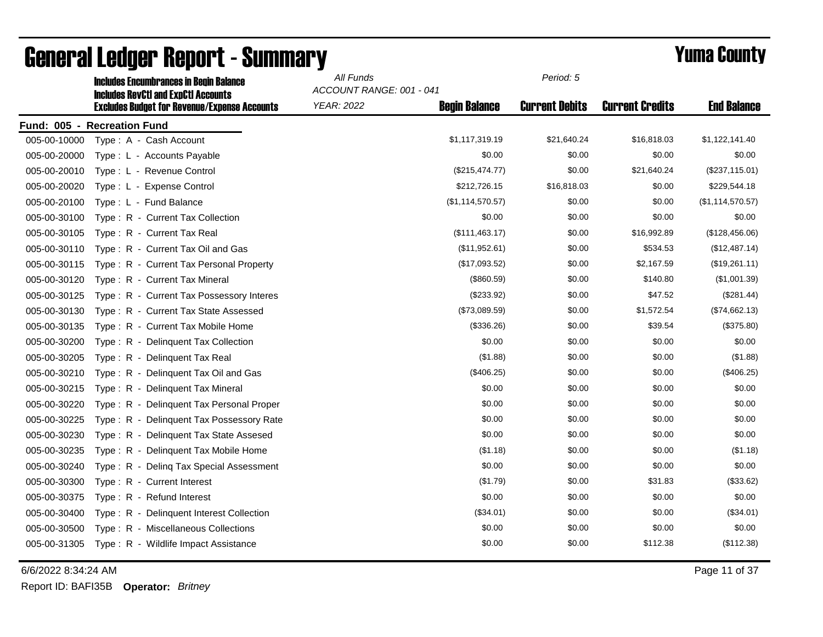|              | <b>Includes Encumbrances in Begin Balance</b><br><b>Includes RevCtI and ExpCtI Accounts</b> | All Funds<br>ACCOUNT RANGE: 001 - 041 | Period: 5            |                       |                        |                    |
|--------------|---------------------------------------------------------------------------------------------|---------------------------------------|----------------------|-----------------------|------------------------|--------------------|
|              | <b>Excludes Budget for Revenue/Expense Accounts</b>                                         | <b>YEAR: 2022</b>                     | <b>Begin Balance</b> | <b>Current Debits</b> | <b>Current Credits</b> | <b>End Balance</b> |
|              | Fund: 005 - Recreation Fund                                                                 |                                       |                      |                       |                        |                    |
| 005-00-10000 | Type: A - Cash Account                                                                      |                                       | \$1,117,319.19       | \$21,640.24           | \$16,818.03            | \$1,122,141.40     |
| 005-00-20000 | Type: L - Accounts Payable                                                                  |                                       | \$0.00               | \$0.00                | \$0.00                 | \$0.00             |
| 005-00-20010 | Type: L - Revenue Control                                                                   |                                       | (\$215,474.77)       | \$0.00                | \$21,640.24            | (\$237,115.01)     |
| 005-00-20020 | Type: L - Expense Control                                                                   |                                       | \$212,726.15         | \$16,818.03           | \$0.00                 | \$229,544.18       |
| 005-00-20100 | Type: L - Fund Balance                                                                      |                                       | (\$1,114,570.57)     | \$0.00                | \$0.00                 | (\$1,114,570.57)   |
| 005-00-30100 | Type: R - Current Tax Collection                                                            |                                       | \$0.00               | \$0.00                | \$0.00                 | \$0.00             |
| 005-00-30105 | Type: R - Current Tax Real                                                                  |                                       | (\$111,463.17)       | \$0.00                | \$16,992.89            | (\$128,456.06)     |
| 005-00-30110 | Type: R - Current Tax Oil and Gas                                                           |                                       | (\$11,952.61)        | \$0.00                | \$534.53               | (\$12,487.14)      |
| 005-00-30115 | Type: R - Current Tax Personal Property                                                     |                                       | (\$17,093.52)        | \$0.00                | \$2,167.59             | (\$19,261.11)      |
| 005-00-30120 | Type: R - Current Tax Mineral                                                               |                                       | (\$860.59)           | \$0.00                | \$140.80               | (\$1,001.39)       |
| 005-00-30125 | Type: R - Current Tax Possessory Interes                                                    |                                       | (\$233.92)           | \$0.00                | \$47.52                | (\$281.44)         |
| 005-00-30130 | Type: R - Current Tax State Assessed                                                        |                                       | (\$73,089.59)        | \$0.00                | \$1,572.54             | (\$74,662.13)      |
| 005-00-30135 | Type: R - Current Tax Mobile Home                                                           |                                       | (\$336.26)           | \$0.00                | \$39.54                | (\$375.80)         |
| 005-00-30200 | Type: R - Delinquent Tax Collection                                                         |                                       | \$0.00               | \$0.00                | \$0.00                 | \$0.00             |
| 005-00-30205 | Type: R - Delinquent Tax Real                                                               |                                       | (\$1.88)             | \$0.00                | \$0.00                 | (\$1.88)           |
| 005-00-30210 | Type: R - Delinquent Tax Oil and Gas                                                        |                                       | (\$406.25)           | \$0.00                | \$0.00                 | (\$406.25)         |
| 005-00-30215 | Type: R - Delinquent Tax Mineral                                                            |                                       | \$0.00               | \$0.00                | \$0.00                 | \$0.00             |
| 005-00-30220 | Type: R - Delinquent Tax Personal Proper                                                    |                                       | \$0.00               | \$0.00                | \$0.00                 | \$0.00             |
| 005-00-30225 | Type: R - Delinguent Tax Possessory Rate                                                    |                                       | \$0.00               | \$0.00                | \$0.00                 | \$0.00             |
| 005-00-30230 | Type: R - Delinquent Tax State Assesed                                                      |                                       | \$0.00               | \$0.00                | \$0.00                 | \$0.00             |
| 005-00-30235 | Type: R - Delinguent Tax Mobile Home                                                        |                                       | (\$1.18)             | \$0.00                | \$0.00                 | (\$1.18)           |
| 005-00-30240 | Type: R - Deling Tax Special Assessment                                                     |                                       | \$0.00               | \$0.00                | \$0.00                 | \$0.00             |
| 005-00-30300 | Type: R - Current Interest                                                                  |                                       | (\$1.79)             | \$0.00                | \$31.83                | (\$33.62)          |
| 005-00-30375 | Type: R - Refund Interest                                                                   |                                       | \$0.00               | \$0.00                | \$0.00                 | \$0.00             |
| 005-00-30400 | Type: R - Delinquent Interest Collection                                                    |                                       | (\$34.01)            | \$0.00                | \$0.00                 | (\$34.01)          |
| 005-00-30500 | Type: R - Miscellaneous Collections                                                         |                                       | \$0.00               | \$0.00                | \$0.00                 | \$0.00             |
| 005-00-31305 | Type: R - Wildlife Impact Assistance                                                        |                                       | \$0.00               | \$0.00                | \$112.38               | (\$112.38)         |

6/6/2022 8:34:24 AM Page 11 of 37

Report ID: BAFI35B **Operator:** *Britney*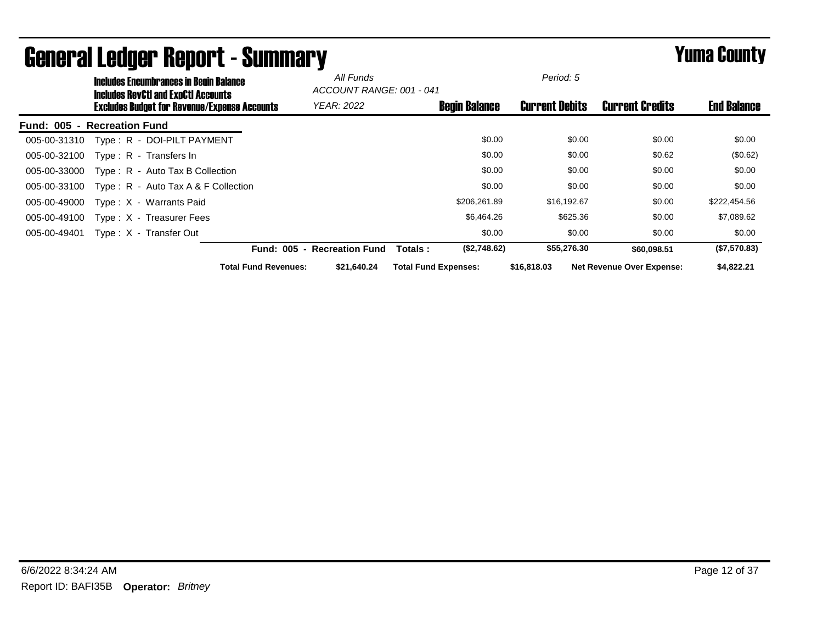|                             | <b>Includes Encumbrances in Begin Balance</b><br><b>Includes RevCtI and ExpCtI Accounts</b> |                                                     | All Funds<br>ACCOUNT RANGE: 001 - 041 |                        |                             | Period: 5            |                       |                                  |                    |
|-----------------------------|---------------------------------------------------------------------------------------------|-----------------------------------------------------|---------------------------------------|------------------------|-----------------------------|----------------------|-----------------------|----------------------------------|--------------------|
|                             |                                                                                             | <b>Excludes Budget for Revenue/Expense Accounts</b> |                                       | <b>YEAR: 2022</b>      |                             | <b>Begin Balance</b> | <b>Current Debits</b> | <b>Current Credits</b>           | <b>End Balance</b> |
| Fund: 005 - Recreation Fund |                                                                                             |                                                     |                                       |                        |                             |                      |                       |                                  |                    |
| 005-00-31310                |                                                                                             | Type: R - DOI-PILT PAYMENT                          |                                       |                        |                             | \$0.00               | \$0.00                | \$0.00                           | \$0.00             |
| 005-00-32100                |                                                                                             | $Type: R - Transfers In$                            |                                       |                        |                             | \$0.00               | \$0.00                | \$0.62                           | (\$0.62)           |
| 005-00-33000                |                                                                                             | Type: R - Auto Tax B Collection                     |                                       |                        |                             | \$0.00               | \$0.00                | \$0.00                           | \$0.00             |
| 005-00-33100                |                                                                                             | Type: $R -$ Auto Tax A & F Collection               |                                       |                        |                             | \$0.00               | \$0.00                | \$0.00                           | \$0.00             |
| 005-00-49000                |                                                                                             | Type: X - Warrants Paid                             |                                       |                        |                             | \$206,261.89         | \$16,192.67           | \$0.00                           | \$222,454.56       |
| 005-00-49100                |                                                                                             | Type: X - Treasurer Fees                            |                                       |                        |                             | \$6,464.26           | \$625.36              | \$0.00                           | \$7,089.62         |
| 005-00-49401                |                                                                                             | Type: X - Transfer Out                              |                                       |                        |                             | \$0.00               | \$0.00                | \$0.00                           | \$0.00             |
|                             |                                                                                             |                                                     | <b>Fund: 005</b><br>$\blacksquare$    | <b>Recreation Fund</b> | Totals:                     | (\$2,748.62)         | \$55,276.30           | \$60,098.51                      | (\$7,570.83)       |
|                             |                                                                                             |                                                     | <b>Total Fund Revenues:</b>           | \$21.640.24            | <b>Total Fund Expenses:</b> |                      | \$16,818,03           | <b>Net Revenue Over Expense:</b> | \$4,822,21         |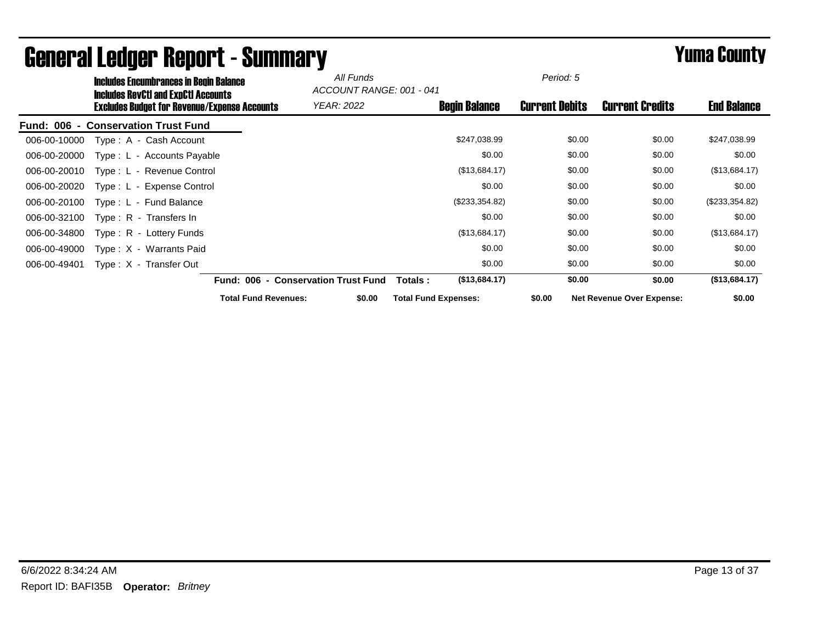| <b>Includes Encumbrances in Begin Balance</b>                                                     |                                     | All Funds | ACCOUNT RANGE: 001 - 041    |                      | Period: 5             |                                  |                    |
|---------------------------------------------------------------------------------------------------|-------------------------------------|-----------|-----------------------------|----------------------|-----------------------|----------------------------------|--------------------|
| <b>Includes RevCtI and ExpCtI Accounts</b><br><b>Excludes Budget for Revenue/Expense Accounts</b> | <b>YEAR: 2022</b>                   |           |                             | <b>Begin Balance</b> | <b>Current Debits</b> | <b>Current Credits</b>           | <b>End Balance</b> |
| <b>Conservation Trust Fund</b><br><b>Fund: 006</b><br>$\blacksquare$                              |                                     |           |                             |                      |                       |                                  |                    |
| 006-00-10000<br>Type: A - Cash Account                                                            |                                     |           |                             | \$247,038.99         | \$0.00                | \$0.00                           | \$247,038.99       |
| 006-00-20000<br>Type: L - Accounts Payable                                                        |                                     |           |                             | \$0.00               | \$0.00                | \$0.00                           | \$0.00             |
| 006-00-20010<br>Type: L - Revenue Control                                                         |                                     |           |                             | (\$13,684.17)        | \$0.00                | \$0.00                           | (\$13,684.17)      |
| Type: L - Expense Control<br>006-00-20020                                                         |                                     |           |                             | \$0.00               | \$0.00                | \$0.00                           | \$0.00             |
| 006-00-20100<br>Type: L - Fund Balance                                                            |                                     |           |                             | (\$233,354.82)       | \$0.00                | \$0.00                           | (\$233,354.82)     |
| 006-00-32100<br>Type: R - Transfers In                                                            |                                     |           |                             | \$0.00               | \$0.00                | \$0.00                           | \$0.00             |
| 006-00-34800<br>Type: R - Lottery Funds                                                           |                                     |           |                             | (\$13,684.17)        | \$0.00                | \$0.00                           | (\$13,684.17)      |
| 006-00-49000<br>Type: X - Warrants Paid                                                           |                                     |           |                             | \$0.00               | \$0.00                | \$0.00                           | \$0.00             |
| 006-00-49401<br>Type: X - Transfer Out                                                            |                                     |           |                             | \$0.00               | \$0.00                | \$0.00                           | \$0.00             |
|                                                                                                   | Fund: 006 - Conservation Trust Fund |           | Totals :                    | (\$13,684.17)        | \$0.00                | \$0.00                           | (\$13,684.17)      |
|                                                                                                   | <b>Total Fund Revenues:</b>         | \$0.00    | <b>Total Fund Expenses:</b> |                      | \$0.00                | <b>Net Revenue Over Expense:</b> | \$0.00             |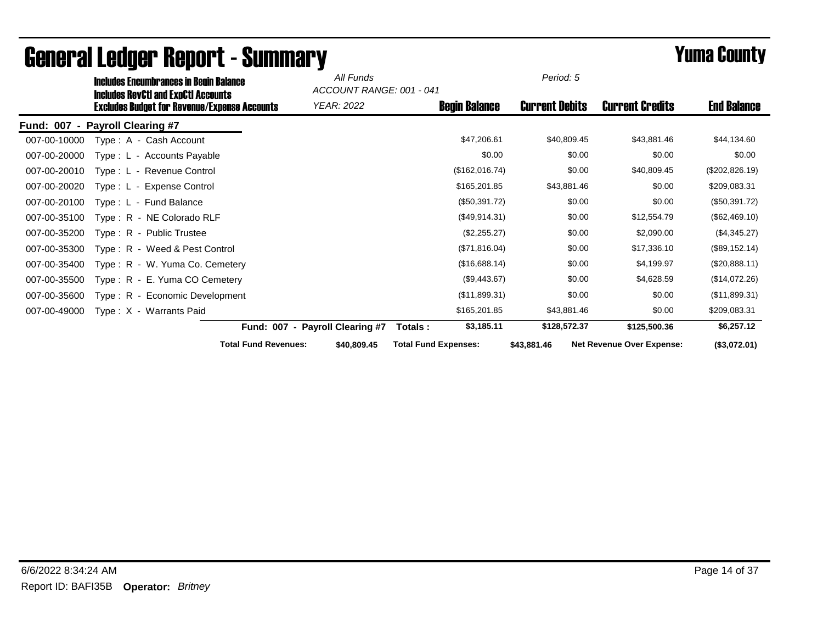|                  | <b>Includes Encumbrances in Begin Balance</b><br><b>Includes RevCtI and ExpCtI Accounts</b> |                                 | All Funds<br>ACCOUNT RANGE: 001 - 041 |                             |                      | Period: 5             |                                  |                    |
|------------------|---------------------------------------------------------------------------------------------|---------------------------------|---------------------------------------|-----------------------------|----------------------|-----------------------|----------------------------------|--------------------|
|                  | <b>Excludes Budget for Revenue/Expense Accounts</b>                                         |                                 | <b>YEAR: 2022</b>                     |                             | <b>Begin Balance</b> | <b>Current Debits</b> | <b>Current Credits</b>           | <b>End Balance</b> |
| <b>Fund: 007</b> | - Payroll Clearing #7                                                                       |                                 |                                       |                             |                      |                       |                                  |                    |
| 007-00-10000     | Type: A - Cash Account                                                                      |                                 |                                       |                             | \$47,206.61          | \$40,809.45           | \$43,881.46                      | \$44,134.60        |
| 007-00-20000     | Type: L - Accounts Payable                                                                  |                                 |                                       |                             | \$0.00               | \$0.00                | \$0.00                           | \$0.00             |
| 007-00-20010     | Type: L - Revenue Control                                                                   |                                 |                                       |                             | (\$162,016.74)       | \$0.00                | \$40,809.45                      | (\$202,826.19)     |
| 007-00-20020     | Type: L - Expense Control                                                                   |                                 |                                       |                             | \$165,201.85         | \$43,881.46           | \$0.00                           | \$209,083.31       |
| 007-00-20100     | Type: L - Fund Balance                                                                      |                                 |                                       |                             | (\$50,391.72)        | \$0.00                | \$0.00                           | (\$50,391.72)      |
| 007-00-35100     | Type: R - NE Colorado RLF                                                                   |                                 |                                       |                             | (\$49,914.31)        | \$0.00                | \$12,554.79                      | (\$62,469.10)      |
| 007-00-35200     | Type: R - Public Trustee                                                                    |                                 |                                       |                             | (\$2,255.27)         | \$0.00                | \$2,090.00                       | (\$4,345.27)       |
| 007-00-35300     | Type: R - Weed & Pest Control                                                               |                                 |                                       |                             | (\$71,816.04)        | \$0.00                | \$17,336.10                      | (\$89,152.14)      |
| 007-00-35400     | Type: R - W. Yuma Co. Cemetery                                                              |                                 |                                       |                             | (\$16,688.14)        | \$0.00                | \$4,199.97                       | (\$20,888.11)      |
| 007-00-35500     | Type: R - E. Yuma CO Cemetery                                                               |                                 |                                       |                             | (\$9,443.67)         | \$0.00                | \$4,628.59                       | (\$14,072.26)      |
| 007-00-35600     | Type: R - Economic Development                                                              |                                 |                                       |                             | (\$11,899.31)        | \$0.00                | \$0.00                           | (\$11,899.31)      |
| 007-00-49000     | Type: X - Warrants Paid                                                                     |                                 |                                       |                             | \$165,201.85         | \$43,881.46           | \$0.00                           | \$209,083.31       |
|                  |                                                                                             | Fund: 007 - Payroll Clearing #7 |                                       | Totals:                     | \$3,185.11           | \$128,572.37          | \$125,500.36                     | \$6,257.12         |
|                  |                                                                                             | <b>Total Fund Revenues:</b>     | \$40,809.45                           | <b>Total Fund Expenses:</b> |                      | \$43,881.46           | <b>Net Revenue Over Expense:</b> | (\$3,072.01)       |

## General Ledger Report - Summary **Example 2008** Summary **Prime County**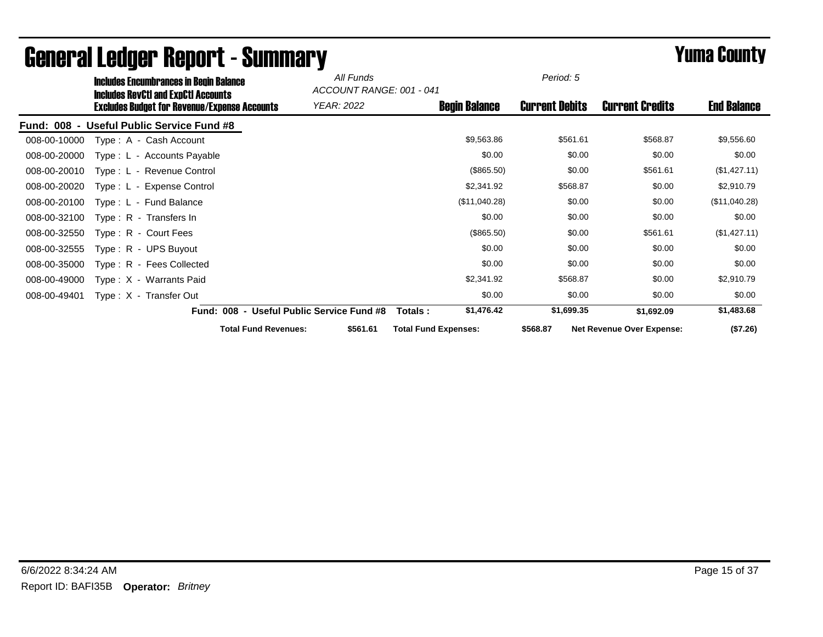|              | <b>Includes Encumbrances in Begin Balance</b>                                              |                                           | All Funds         | ACCOUNT RANGE: 001 - 041    | Period: 5             |                                  |                    |
|--------------|--------------------------------------------------------------------------------------------|-------------------------------------------|-------------------|-----------------------------|-----------------------|----------------------------------|--------------------|
|              | Includes RevCtI and ExpCtI Accounts<br><b>Excludes Budget for Revenue/Expense Accounts</b> |                                           | <b>YEAR: 2022</b> | <b>Begin Balance</b>        | <b>Current Debits</b> | <b>Current Credits</b>           | <b>End Balance</b> |
| Fund: 008 -  | <b>Useful Public Service Fund #8</b>                                                       |                                           |                   |                             |                       |                                  |                    |
| 008-00-10000 | Type: A - Cash Account                                                                     |                                           |                   | \$9,563.86                  | \$561.61              | \$568.87                         | \$9,556.60         |
| 008-00-20000 | Type: L - Accounts Payable                                                                 |                                           |                   | \$0.00                      | \$0.00                | \$0.00                           | \$0.00             |
| 008-00-20010 | Type: L - Revenue Control                                                                  |                                           |                   | (\$865.50)                  | \$0.00                | \$561.61                         | (\$1,427.11)       |
| 008-00-20020 | Type: L - Expense Control                                                                  |                                           |                   | \$2,341.92                  | \$568.87              | \$0.00                           | \$2,910.79         |
| 008-00-20100 | Type: L - Fund Balance                                                                     |                                           |                   | (\$11,040.28)               | \$0.00                | \$0.00                           | (\$11,040.28)      |
| 008-00-32100 | $Type: R - Transfers In$                                                                   |                                           |                   | \$0.00                      | \$0.00                | \$0.00                           | \$0.00             |
| 008-00-32550 | Type: R - Court Fees                                                                       |                                           |                   | (\$865.50)                  | \$0.00                | \$561.61                         | (\$1,427.11)       |
| 008-00-32555 | Type: R - UPS Buyout                                                                       |                                           |                   | \$0.00                      | \$0.00                | \$0.00                           | \$0.00             |
| 008-00-35000 | Type: R - Fees Collected                                                                   |                                           |                   | \$0.00                      | \$0.00                | \$0.00                           | \$0.00             |
| 008-00-49000 | Type: X - Warrants Paid                                                                    |                                           |                   | \$2,341.92                  | \$568.87              | \$0.00                           | \$2,910.79         |
| 008-00-49401 | Type: X - Transfer Out                                                                     |                                           |                   | \$0.00                      | \$0.00                | \$0.00                           | \$0.00             |
|              |                                                                                            | Fund: 008 - Useful Public Service Fund #8 |                   | \$1,476.42<br>Totals :      | \$1,699.35            | \$1,692.09                       | \$1,483.68         |
|              |                                                                                            | <b>Total Fund Revenues:</b>               | \$561.61          | <b>Total Fund Expenses:</b> | \$568.87              | <b>Net Revenue Over Expense:</b> | (\$7.26)           |

## General Ledger Report - Summary **Experience Systems** Yuma County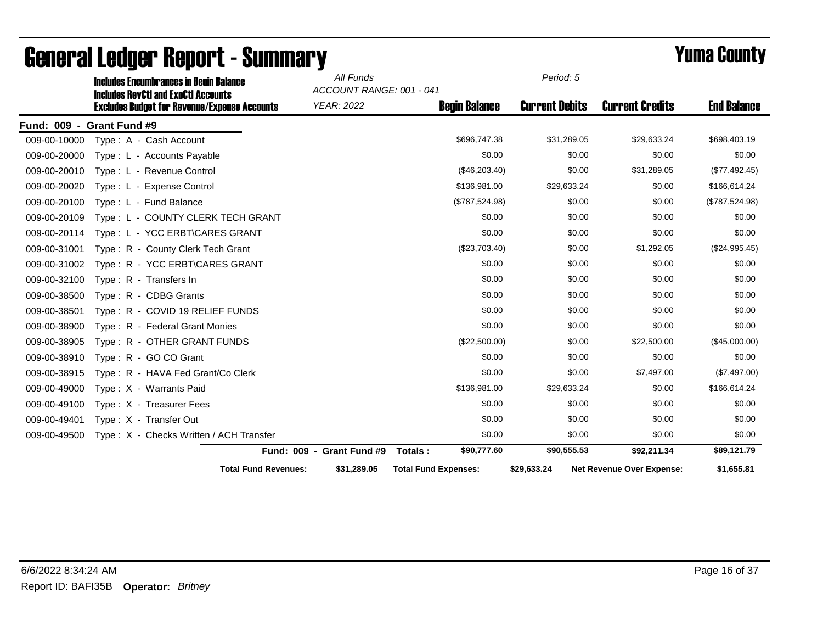|              | <b>Includes Encumbrances in Begin Balance</b>                                                     | All Funds<br>ACCOUNT RANGE: 001 - 041 |                             | Period: 5             |                                  |                    |
|--------------|---------------------------------------------------------------------------------------------------|---------------------------------------|-----------------------------|-----------------------|----------------------------------|--------------------|
|              | <b>Includes RevCtI and ExpCtI Accounts</b><br><b>Excludes Budget for Revenue/Expense Accounts</b> | <b>YEAR: 2022</b>                     | <b>Begin Balance</b>        | <b>Current Debits</b> | <b>Current Credits</b>           | <b>End Balance</b> |
|              | Fund: 009 - Grant Fund #9                                                                         |                                       |                             |                       |                                  |                    |
| 009-00-10000 | Type: A - Cash Account                                                                            |                                       | \$696,747.38                | \$31,289.05           | \$29,633.24                      | \$698,403.19       |
| 009-00-20000 | Type: L - Accounts Payable                                                                        |                                       | \$0.00                      | \$0.00                | \$0.00                           | \$0.00             |
| 009-00-20010 | Type: L - Revenue Control                                                                         |                                       | (\$46,203.40)               | \$0.00                | \$31,289.05                      | (\$77,492.45)      |
| 009-00-20020 | Type: L - Expense Control                                                                         |                                       | \$136,981.00                | \$29,633.24           | \$0.00                           | \$166,614.24       |
| 009-00-20100 | Type: L - Fund Balance                                                                            |                                       | (\$787,524.98)              | \$0.00                | \$0.00                           | (\$787,524.98)     |
| 009-00-20109 | Type: L - COUNTY CLERK TECH GRANT                                                                 |                                       | \$0.00                      | \$0.00                | \$0.00                           | \$0.00             |
| 009-00-20114 | Type: L - YCC ERBT\CARES GRANT                                                                    |                                       | \$0.00                      | \$0.00                | \$0.00                           | \$0.00             |
| 009-00-31001 | Type: R - County Clerk Tech Grant                                                                 |                                       | (\$23,703.40)               | \$0.00                | \$1,292.05                       | (\$24,995.45)      |
| 009-00-31002 | Type: R - YCC ERBT\CARES GRANT                                                                    |                                       | \$0.00                      | \$0.00                | \$0.00                           | \$0.00             |
| 009-00-32100 | Type: R - Transfers In                                                                            |                                       | \$0.00                      | \$0.00                | \$0.00                           | \$0.00             |
| 009-00-38500 | Type: R - CDBG Grants                                                                             |                                       | \$0.00                      | \$0.00                | \$0.00                           | \$0.00             |
| 009-00-38501 | Type: R - COVID 19 RELIEF FUNDS                                                                   |                                       | \$0.00                      | \$0.00                | \$0.00                           | \$0.00             |
| 009-00-38900 | Type: R - Federal Grant Monies                                                                    |                                       | \$0.00                      | \$0.00                | \$0.00                           | \$0.00             |
| 009-00-38905 | Type: R - OTHER GRANT FUNDS                                                                       |                                       | (\$22,500.00)               | \$0.00                | \$22,500.00                      | (\$45,000.00)      |
| 009-00-38910 | Type: R - GO CO Grant                                                                             |                                       | \$0.00                      | \$0.00                | \$0.00                           | \$0.00             |
| 009-00-38915 | Type: R - HAVA Fed Grant/Co Clerk                                                                 |                                       | \$0.00                      | \$0.00                | \$7,497.00                       | (\$7,497.00)       |
| 009-00-49000 | Type: X - Warrants Paid                                                                           |                                       | \$136,981.00                | \$29,633.24           | \$0.00                           | \$166,614.24       |
| 009-00-49100 | Type: X - Treasurer Fees                                                                          |                                       | \$0.00                      | \$0.00                | \$0.00                           | \$0.00             |
| 009-00-49401 | Type: X - Transfer Out                                                                            |                                       | \$0.00                      | \$0.00                | \$0.00                           | \$0.00             |
| 009-00-49500 | Type: X - Checks Written / ACH Transfer                                                           |                                       | \$0.00                      | \$0.00                | \$0.00                           | \$0.00             |
|              |                                                                                                   | Fund: 009 - Grant Fund #9             | \$90,777.60<br>Totals:      | \$90,555.53           | \$92,211.34                      | \$89,121.79        |
|              | <b>Total Fund Revenues:</b>                                                                       | \$31,289.05                           | <b>Total Fund Expenses:</b> | \$29,633.24           | <b>Net Revenue Over Expense:</b> | \$1,655.81         |

## General Ledger Report - Summary **Example 2018** Yuma County Includes Encumbrances in Begin Balance *All Funds*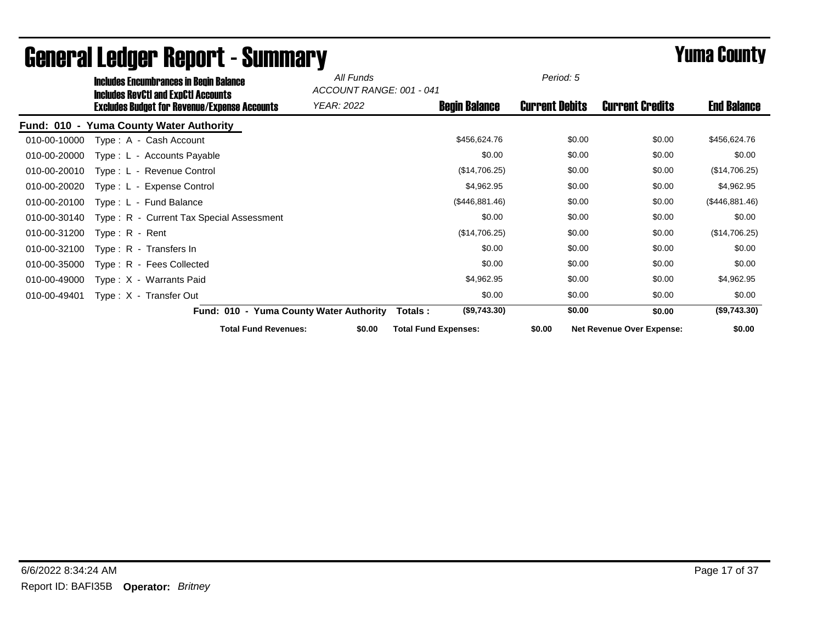|              | <b>Includes Encumbrances in Begin Balance</b>                                              |                                         | All Funds  | ACCOUNT RANGE: 001 - 041    |                      | Period: 5             |                                  |                    |
|--------------|--------------------------------------------------------------------------------------------|-----------------------------------------|------------|-----------------------------|----------------------|-----------------------|----------------------------------|--------------------|
|              | Includes RevCtI and ExpCtI Accounts<br><b>Excludes Budget for Revenue/Expense Accounts</b> |                                         | YEAR: 2022 |                             | <b>Begin Balance</b> | <b>Current Debits</b> | <b>Current Credits</b>           | <b>End Balance</b> |
|              | Fund: 010 - Yuma County Water Authority                                                    |                                         |            |                             |                      |                       |                                  |                    |
| 010-00-10000 | Type: A - Cash Account                                                                     |                                         |            |                             | \$456,624.76         | \$0.00                | \$0.00                           | \$456,624.76       |
| 010-00-20000 | Type: L - Accounts Payable                                                                 |                                         |            |                             | \$0.00               | \$0.00                | \$0.00                           | \$0.00             |
| 010-00-20010 | Type: L - Revenue Control                                                                  |                                         |            |                             | (\$14,706.25)        | \$0.00                | \$0.00                           | (\$14,706.25)      |
| 010-00-20020 | Type: L - Expense Control                                                                  |                                         |            |                             | \$4,962.95           | \$0.00                | \$0.00                           | \$4,962.95         |
| 010-00-20100 | Type: L - Fund Balance                                                                     |                                         |            |                             | (\$446,881.46)       | \$0.00                | \$0.00                           | (\$446,881.46)     |
| 010-00-30140 | Type: R - Current Tax Special Assessment                                                   |                                         |            |                             | \$0.00               | \$0.00                | \$0.00                           | \$0.00             |
| 010-00-31200 | $Type: R - Rent$                                                                           |                                         |            |                             | (\$14,706.25)        | \$0.00                | \$0.00                           | (\$14,706.25)      |
| 010-00-32100 | Type: R - Transfers In                                                                     |                                         |            |                             | \$0.00               | \$0.00                | \$0.00                           | \$0.00             |
| 010-00-35000 | Type: R - Fees Collected                                                                   |                                         |            |                             | \$0.00               | \$0.00                | \$0.00                           | \$0.00             |
| 010-00-49000 | Type: X - Warrants Paid                                                                    |                                         |            |                             | \$4,962.95           | \$0.00                | \$0.00                           | \$4,962.95         |
| 010-00-49401 | Type: X - Transfer Out                                                                     |                                         |            |                             | \$0.00               | \$0.00                | \$0.00                           | \$0.00             |
|              |                                                                                            | Fund: 010 - Yuma County Water Authority |            | Totals :                    | (\$9,743.30)         | \$0.00                | \$0.00                           | (\$9,743.30)       |
|              |                                                                                            | <b>Total Fund Revenues:</b>             | \$0.00     | <b>Total Fund Expenses:</b> |                      | \$0.00                | <b>Net Revenue Over Expense:</b> | \$0.00             |

## General Ledger Report - Summary **Experience Systems** Yuma County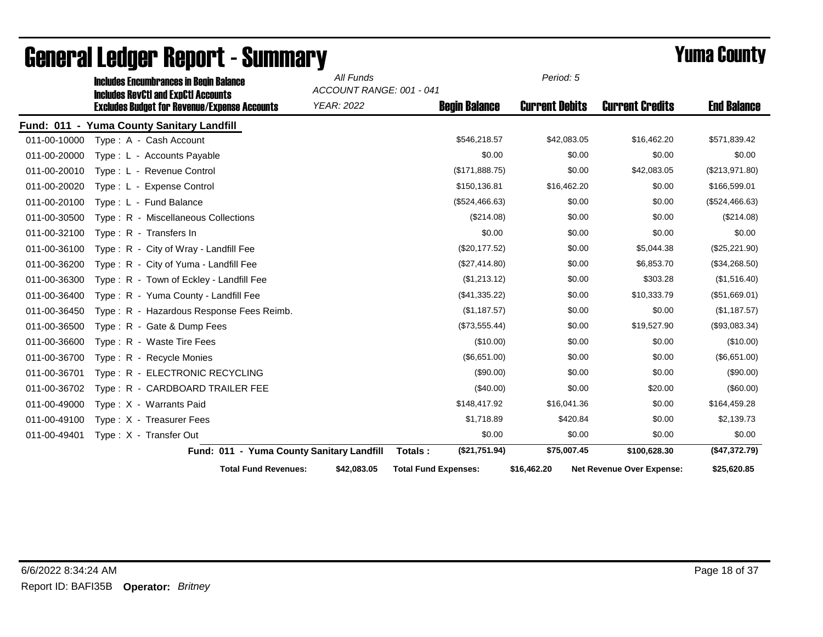|              | <b>Includes Encumbrances in Begin Balance</b>                                                     | All Funds<br>ACCOUNT RANGE: 001 - 041 |                             | Period: 5             |                                  |                    |
|--------------|---------------------------------------------------------------------------------------------------|---------------------------------------|-----------------------------|-----------------------|----------------------------------|--------------------|
|              | <b>Includes RevCtI and ExpCtI Accounts</b><br><b>Excludes Budget for Revenue/Expense Accounts</b> | YEAR: 2022                            | <b>Begin Balance</b>        | <b>Current Debits</b> | <b>Current Credits</b>           | <b>End Balance</b> |
| Fund: 011 -  | <b>Yuma County Sanitary Landfill</b>                                                              |                                       |                             |                       |                                  |                    |
| 011-00-10000 | Type: A - Cash Account                                                                            |                                       | \$546,218.57                | \$42,083.05           | \$16,462.20                      | \$571,839.42       |
| 011-00-20000 | Type: L - Accounts Payable                                                                        |                                       | \$0.00                      | \$0.00                | \$0.00                           | \$0.00             |
| 011-00-20010 | Type: L - Revenue Control                                                                         |                                       | (\$171,888.75)              | \$0.00                | \$42,083.05                      | (\$213,971.80)     |
| 011-00-20020 | Type: L - Expense Control                                                                         |                                       | \$150,136.81                | \$16,462.20           | \$0.00                           | \$166,599.01       |
| 011-00-20100 | Type: L - Fund Balance                                                                            |                                       | (\$524,466.63)              | \$0.00                | \$0.00                           | (\$524,466.63)     |
| 011-00-30500 | Type: R - Miscellaneous Collections                                                               |                                       | (\$214.08)                  | \$0.00                | \$0.00                           | (\$214.08)         |
| 011-00-32100 | Type: R - Transfers In                                                                            |                                       | \$0.00                      | \$0.00                | \$0.00                           | \$0.00             |
| 011-00-36100 | Type: R - City of Wray - Landfill Fee                                                             |                                       | (\$20,177.52)               | \$0.00                | \$5,044.38                       | (\$25,221.90)      |
| 011-00-36200 | Type: R - City of Yuma - Landfill Fee                                                             |                                       | (\$27,414.80)               | \$0.00                | \$6,853.70                       | (\$34,268.50)      |
| 011-00-36300 | Type: R - Town of Eckley - Landfill Fee                                                           |                                       | (\$1,213.12)                | \$0.00                | \$303.28                         | (\$1,516.40)       |
| 011-00-36400 | Type: R - Yuma County - Landfill Fee                                                              |                                       | (\$41,335.22)               | \$0.00                | \$10,333.79                      | (\$51,669.01)      |
| 011-00-36450 | Type: R - Hazardous Response Fees Reimb.                                                          |                                       | (\$1,187.57)                | \$0.00                | \$0.00                           | (\$1,187.57)       |
| 011-00-36500 | Type: R - Gate & Dump Fees                                                                        |                                       | (\$73,555.44)               | \$0.00                | \$19,527.90                      | (\$93,083.34)      |
| 011-00-36600 | Type: R - Waste Tire Fees                                                                         |                                       | (\$10.00)                   | \$0.00                | \$0.00                           | (\$10.00)          |
| 011-00-36700 | Type: R - Recycle Monies                                                                          |                                       | (\$6,651.00)                | \$0.00                | \$0.00                           | (\$6,651.00)       |
| 011-00-36701 | Type: R - ELECTRONIC RECYCLING                                                                    |                                       | (\$90.00)                   | \$0.00                | \$0.00                           | (\$90.00)          |
| 011-00-36702 | Type: R - CARDBOARD TRAILER FEE                                                                   |                                       | (\$40.00)                   | \$0.00                | \$20.00                          | (\$60.00)          |
| 011-00-49000 | Type: X - Warrants Paid                                                                           |                                       | \$148,417.92                | \$16,041.36           | \$0.00                           | \$164,459.28       |
| 011-00-49100 | Type: X - Treasurer Fees                                                                          |                                       | \$1,718.89                  | \$420.84              | \$0.00                           | \$2,139.73         |
| 011-00-49401 | Type: X - Transfer Out                                                                            |                                       | \$0.00                      | \$0.00                | \$0.00                           | \$0.00             |
|              | Fund: 011 - Yuma County Sanitary Landfill                                                         |                                       | (\$21,751.94)<br>Totals:    | \$75,007.45           | \$100,628.30                     | (\$47,372.79)      |
|              | <b>Total Fund Revenues:</b>                                                                       | \$42,083.05                           | <b>Total Fund Expenses:</b> | \$16,462.20           | <b>Net Revenue Over Expense:</b> | \$25,620.85        |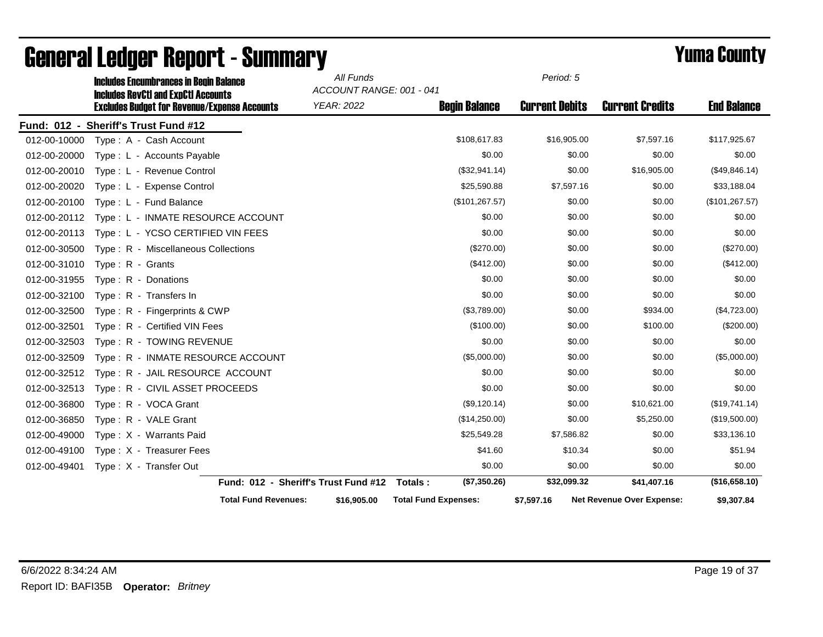|              | <b>Includes Encumbrances in Begin Balance</b>                                                     |                                      | All Funds                                     |                             | Period: 5             |                           |                    |
|--------------|---------------------------------------------------------------------------------------------------|--------------------------------------|-----------------------------------------------|-----------------------------|-----------------------|---------------------------|--------------------|
|              | <b>Includes RevCtI and ExpCtI Accounts</b><br><b>Excludes Budget for Revenue/Expense Accounts</b> |                                      | ACCOUNT RANGE: 001 - 041<br><b>YEAR: 2022</b> | <b>Begin Balance</b>        | <b>Current Debits</b> | <b>Current Credits</b>    | <b>End Balance</b> |
|              | Fund: 012 - Sheriff's Trust Fund #12                                                              |                                      |                                               |                             |                       |                           |                    |
| 012-00-10000 | Type: A - Cash Account                                                                            |                                      |                                               | \$108,617.83                | \$16,905.00           | \$7,597.16                | \$117,925.67       |
| 012-00-20000 | Type: L - Accounts Payable                                                                        |                                      |                                               | \$0.00                      | \$0.00                | \$0.00                    | \$0.00             |
| 012-00-20010 | Type: L - Revenue Control                                                                         |                                      |                                               | (\$32,941.14)               | \$0.00                | \$16,905.00               | (\$49,846.14)      |
| 012-00-20020 | Type: L - Expense Control                                                                         |                                      |                                               | \$25,590.88                 | \$7,597.16            | \$0.00                    | \$33,188.04        |
| 012-00-20100 | Type: L - Fund Balance                                                                            |                                      |                                               | (\$101, 267.57)             | \$0.00                | \$0.00                    | (\$101, 267.57)    |
| 012-00-20112 | Type: L - INMATE RESOURCE ACCOUNT                                                                 |                                      |                                               | \$0.00                      | \$0.00                | \$0.00                    | \$0.00             |
| 012-00-20113 | Type: L - YCSO CERTIFIED VIN FEES                                                                 |                                      |                                               | \$0.00                      | \$0.00                | \$0.00                    | \$0.00             |
| 012-00-30500 | Type: R - Miscellaneous Collections                                                               |                                      |                                               | (\$270.00)                  | \$0.00                | \$0.00                    | (\$270.00)         |
| 012-00-31010 | Type: R - Grants                                                                                  |                                      |                                               | (\$412.00)                  | \$0.00                | \$0.00                    | (\$412.00)         |
| 012-00-31955 | Type: R - Donations                                                                               |                                      |                                               | \$0.00                      | \$0.00                | \$0.00                    | \$0.00             |
| 012-00-32100 | Type: R - Transfers In                                                                            |                                      |                                               | \$0.00                      | \$0.00                | \$0.00                    | \$0.00             |
| 012-00-32500 | Type: R - Fingerprints & CWP                                                                      |                                      |                                               | (\$3,789.00)                | \$0.00                | \$934.00                  | (\$4,723.00)       |
| 012-00-32501 | Type: R - Certified VIN Fees                                                                      |                                      |                                               | (\$100.00)                  | \$0.00                | \$100.00                  | $(\$200.00)$       |
| 012-00-32503 | Type: R - TOWING REVENUE                                                                          |                                      |                                               | \$0.00                      | \$0.00                | \$0.00                    | \$0.00             |
| 012-00-32509 | Type: R - INMATE RESOURCE ACCOUNT                                                                 |                                      |                                               | (\$5,000.00)                | \$0.00                | \$0.00                    | (\$5,000.00)       |
| 012-00-32512 | Type: R - JAIL RESOURCE ACCOUNT                                                                   |                                      |                                               | \$0.00                      | \$0.00                | \$0.00                    | \$0.00             |
| 012-00-32513 | Type: R - CIVIL ASSET PROCEEDS                                                                    |                                      |                                               | \$0.00                      | \$0.00                | \$0.00                    | \$0.00             |
| 012-00-36800 | Type: R - VOCA Grant                                                                              |                                      |                                               | (\$9,120.14)                | \$0.00                | \$10,621.00               | (\$19,741.14)      |
| 012-00-36850 | Type: R - VALE Grant                                                                              |                                      |                                               | (\$14,250.00)               | \$0.00                | \$5,250.00                | (\$19,500.00)      |
| 012-00-49000 | Type: X - Warrants Paid                                                                           |                                      |                                               | \$25,549.28                 | \$7,586.82            | \$0.00                    | \$33,136.10        |
| 012-00-49100 | Type: X - Treasurer Fees                                                                          |                                      |                                               | \$41.60                     | \$10.34               | \$0.00                    | \$51.94            |
| 012-00-49401 | Type: X - Transfer Out                                                                            |                                      |                                               | \$0.00                      | \$0.00                | \$0.00                    | \$0.00             |
|              |                                                                                                   | Fund: 012 - Sheriff's Trust Fund #12 |                                               | Totals:<br>(\$7,350.26)     | \$32,099.32           | \$41,407.16               | (\$16,658.10)      |
|              |                                                                                                   | <b>Total Fund Revenues:</b>          | \$16,905.00                                   | <b>Total Fund Expenses:</b> | \$7,597.16            | Net Revenue Over Expense: | \$9,307.84         |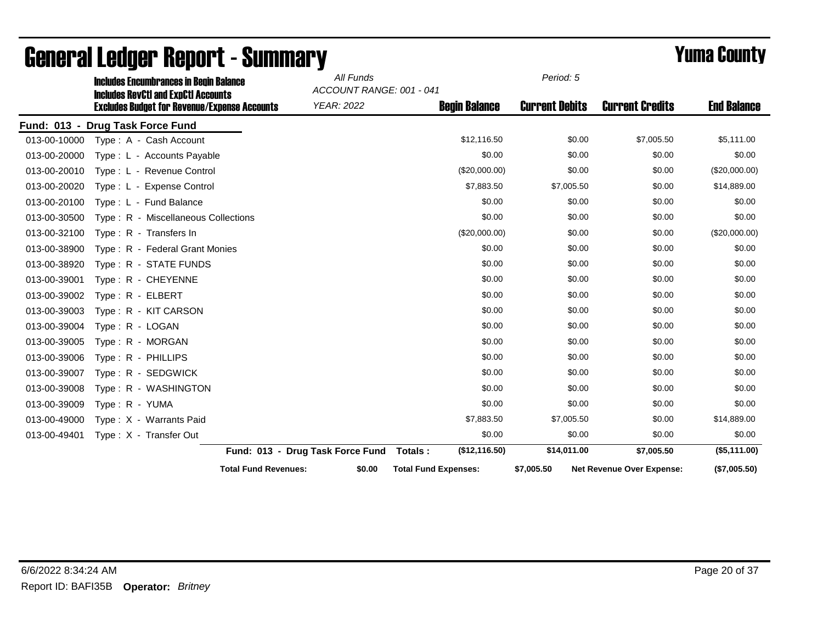|              | <b>Includes Encumbrances in Begin Balance</b>                                                     |                                  | All Funds<br>ACCOUNT RANGE: 001 - 041 |                             | Period: 5             |                                  |                    |
|--------------|---------------------------------------------------------------------------------------------------|----------------------------------|---------------------------------------|-----------------------------|-----------------------|----------------------------------|--------------------|
|              | <b>Includes RevCtI and ExpCtI Accounts</b><br><b>Excludes Budget for Revenue/Expense Accounts</b> |                                  | <b>YEAR: 2022</b>                     | <b>Begin Balance</b>        | <b>Current Debits</b> | <b>Current Credits</b>           | <b>End Balance</b> |
|              | Fund: 013 - Drug Task Force Fund                                                                  |                                  |                                       |                             |                       |                                  |                    |
| 013-00-10000 | Type: A - Cash Account                                                                            |                                  |                                       | \$12,116.50                 | \$0.00                | \$7,005.50                       | \$5,111.00         |
| 013-00-20000 | Type : L - Accounts Payable                                                                       |                                  |                                       | \$0.00                      | \$0.00                | \$0.00                           | \$0.00             |
| 013-00-20010 | Type: L - Revenue Control                                                                         |                                  |                                       | (\$20,000.00)               | \$0.00                | \$0.00                           | (\$20,000.00)      |
| 013-00-20020 | Type: L - Expense Control                                                                         |                                  |                                       | \$7,883.50                  | \$7,005.50            | \$0.00                           | \$14,889.00        |
| 013-00-20100 | Type: L - Fund Balance                                                                            |                                  |                                       | \$0.00                      | \$0.00                | \$0.00                           | \$0.00             |
| 013-00-30500 | Type: R - Miscellaneous Collections                                                               |                                  |                                       | \$0.00                      | \$0.00                | \$0.00                           | \$0.00             |
| 013-00-32100 | Type: R - Transfers In                                                                            |                                  |                                       | (\$20,000.00)               | \$0.00                | \$0.00                           | (\$20,000.00)      |
| 013-00-38900 | Type: R - Federal Grant Monies                                                                    |                                  |                                       | \$0.00                      | \$0.00                | \$0.00                           | \$0.00             |
| 013-00-38920 | Type: R - STATE FUNDS                                                                             |                                  |                                       | \$0.00                      | \$0.00                | \$0.00                           | \$0.00             |
| 013-00-39001 | Type: R - CHEYENNE                                                                                |                                  |                                       | \$0.00                      | \$0.00                | \$0.00                           | \$0.00             |
| 013-00-39002 | Type: R - ELBERT                                                                                  |                                  |                                       | \$0.00                      | \$0.00                | \$0.00                           | \$0.00             |
| 013-00-39003 | Type: R - KIT CARSON                                                                              |                                  |                                       | \$0.00                      | \$0.00                | \$0.00                           | \$0.00             |
| 013-00-39004 | Type: R - LOGAN                                                                                   |                                  |                                       | \$0.00                      | \$0.00                | \$0.00                           | \$0.00             |
| 013-00-39005 | Type: R - MORGAN                                                                                  |                                  |                                       | \$0.00                      | \$0.00                | \$0.00                           | \$0.00             |
| 013-00-39006 | Type: R - PHILLIPS                                                                                |                                  |                                       | \$0.00                      | \$0.00                | \$0.00                           | \$0.00             |
| 013-00-39007 | Type: R - SEDGWICK                                                                                |                                  |                                       | \$0.00                      | \$0.00                | \$0.00                           | \$0.00             |
| 013-00-39008 | Type: R - WASHINGTON                                                                              |                                  |                                       | \$0.00                      | \$0.00                | \$0.00                           | \$0.00             |
| 013-00-39009 | Type: R - YUMA                                                                                    |                                  |                                       | \$0.00                      | \$0.00                | \$0.00                           | \$0.00             |
| 013-00-49000 | Type: X - Warrants Paid                                                                           |                                  |                                       | \$7,883.50                  | \$7,005.50            | \$0.00                           | \$14,889.00        |
| 013-00-49401 | Type: X - Transfer Out                                                                            |                                  |                                       | \$0.00                      | \$0.00                | \$0.00                           | \$0.00             |
|              |                                                                                                   | Fund: 013 - Drug Task Force Fund |                                       | (\$12,116.50)<br>Totals:    | \$14,011.00           | \$7,005.50                       | (\$5,111.00)       |
|              |                                                                                                   | <b>Total Fund Revenues:</b>      | \$0.00                                | <b>Total Fund Expenses:</b> | \$7,005.50            | <b>Net Revenue Over Expense:</b> | (\$7,005.50)       |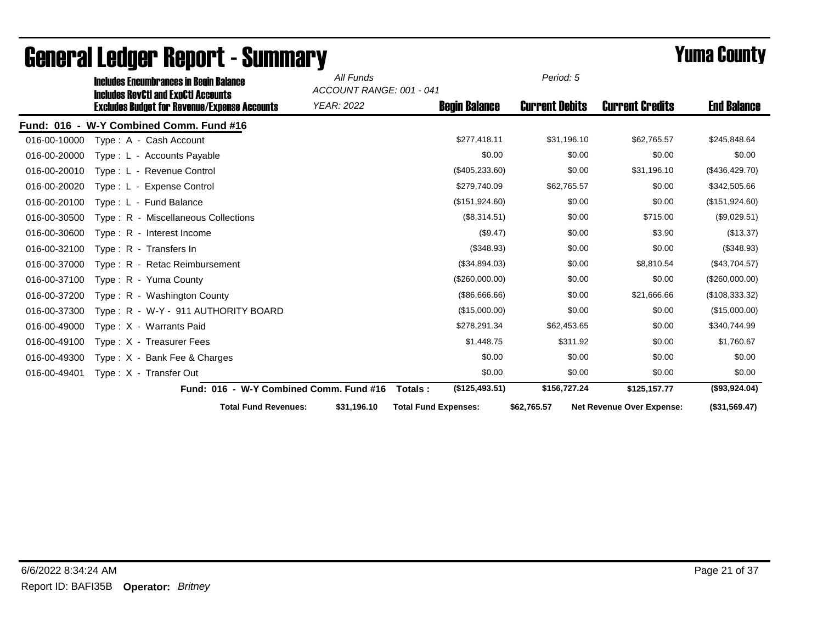|              | <b>Includes Encumbrances in Begin Balance</b><br><b>Includes RevCtI and ExpCtI Accounts</b> | All Funds<br>ACCOUNT RANGE: 001 - 041 |                             | Period: 5             |                                  |                    |
|--------------|---------------------------------------------------------------------------------------------|---------------------------------------|-----------------------------|-----------------------|----------------------------------|--------------------|
|              | <b>Excludes Budget for Revenue/Expense Accounts</b>                                         | YEAR: 2022                            | <b>Begin Balance</b>        | <b>Current Debits</b> | <b>Current Credits</b>           | <b>End Balance</b> |
|              | Fund: 016 - W-Y Combined Comm. Fund #16                                                     |                                       |                             |                       |                                  |                    |
| 016-00-10000 | Type: A - Cash Account                                                                      |                                       | \$277,418.11                | \$31,196.10           | \$62,765.57                      | \$245,848.64       |
| 016-00-20000 | Type: L - Accounts Payable                                                                  |                                       | \$0.00                      | \$0.00                | \$0.00                           | \$0.00             |
| 016-00-20010 | Type: L - Revenue Control                                                                   |                                       | $(\$405,233.60)$            | \$0.00                | \$31,196.10                      | (\$436,429.70)     |
| 016-00-20020 | Type: L - Expense Control                                                                   |                                       | \$279,740.09                | \$62,765.57           | \$0.00                           | \$342,505.66       |
| 016-00-20100 | Type: L - Fund Balance                                                                      |                                       | (\$151,924.60)              | \$0.00                | \$0.00                           | (\$151,924.60)     |
| 016-00-30500 | Type: R - Miscellaneous Collections                                                         |                                       | (\$8,314.51)                | \$0.00                | \$715.00                         | (\$9,029.51)       |
| 016-00-30600 | Type: R - Interest Income                                                                   |                                       | $(\$9.47)$                  | \$0.00                | \$3.90                           | (\$13.37)          |
| 016-00-32100 | Type: R - Transfers In                                                                      |                                       | (\$348.93)                  | \$0.00                | \$0.00                           | (\$348.93)         |
| 016-00-37000 | Type: R - Retac Reimbursement                                                               |                                       | (\$34,894.03)               | \$0.00                | \$8,810.54                       | (\$43,704.57)      |
| 016-00-37100 | Type: R - Yuma County                                                                       |                                       | (\$260,000.00)              | \$0.00                | \$0.00                           | (\$260,000.00)     |
| 016-00-37200 | Type: R - Washington County                                                                 |                                       | (\$86,666.66)               | \$0.00                | \$21,666.66                      | (\$108,333.32)     |
| 016-00-37300 | Type: R - W-Y - 911 AUTHORITY BOARD                                                         |                                       | (\$15,000.00)               | \$0.00                | \$0.00                           | (\$15,000.00)      |
| 016-00-49000 | Type: X - Warrants Paid                                                                     |                                       | \$278,291.34                | \$62,453.65           | \$0.00                           | \$340,744.99       |
| 016-00-49100 | Type: X - Treasurer Fees                                                                    |                                       | \$1,448.75                  | \$311.92              | \$0.00                           | \$1,760.67         |
| 016-00-49300 | Type: $X -$ Bank Fee & Charges                                                              |                                       | \$0.00                      | \$0.00                | \$0.00                           | \$0.00             |
| 016-00-49401 | Type: X - Transfer Out                                                                      |                                       | \$0.00                      | \$0.00                | \$0.00                           | \$0.00             |
|              | Fund: 016 - W-Y Combined Comm. Fund #16                                                     |                                       | (\$125,493.51)<br>Totals :  | \$156,727.24          | \$125,157.77                     | (\$93,924.04)      |
|              | <b>Total Fund Revenues:</b>                                                                 | \$31,196.10                           | <b>Total Fund Expenses:</b> | \$62,765.57           | <b>Net Revenue Over Expense:</b> | (\$31,569.47)      |

# General Ledger Report - Summary **Example 2008** Summatry **Periodic Example 2009**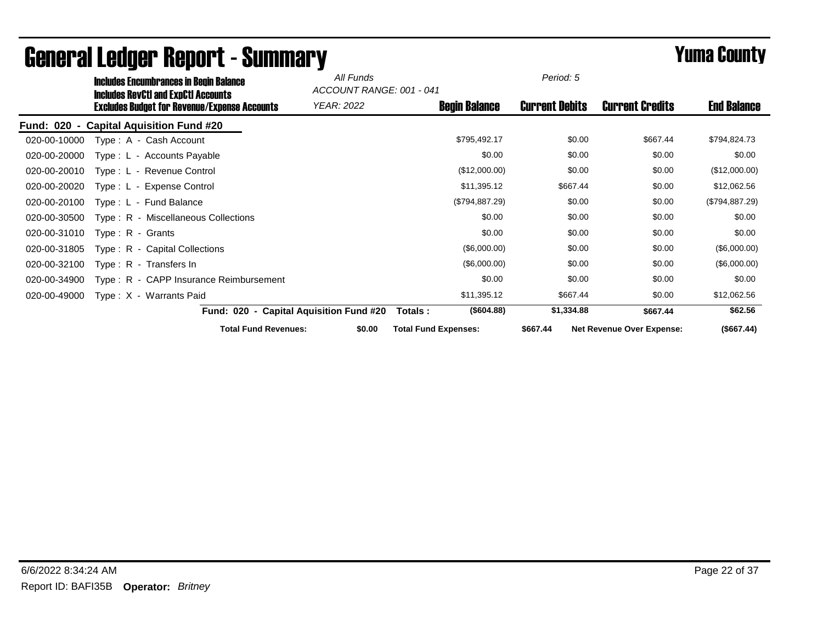|              | <b>Includes Encumbrances in Begin Balance</b><br><b>Includes RevCtI and ExpCtI Accounts</b> | All Funds<br>ACCOUNT RANGE: 001 - 041   |                             | Period: 5             |                                  |                    |
|--------------|---------------------------------------------------------------------------------------------|-----------------------------------------|-----------------------------|-----------------------|----------------------------------|--------------------|
|              | <b>Excludes Budget for Revenue/Expense Accounts</b>                                         | YEAR: 2022                              | <b>Begin Balance</b>        | <b>Current Debits</b> | <b>Current Credits</b>           | <b>End Balance</b> |
|              | Fund: 020 - Capital Aquisition Fund #20                                                     |                                         |                             |                       |                                  |                    |
| 020-00-10000 | Type: A - Cash Account                                                                      |                                         | \$795,492.17                | \$0.00                | \$667.44                         | \$794,824.73       |
| 020-00-20000 | Type: L - Accounts Payable                                                                  |                                         | \$0.00                      | \$0.00                | \$0.00                           | \$0.00             |
| 020-00-20010 | Type: L - Revenue Control                                                                   |                                         | (\$12,000.00)               | \$0.00                | \$0.00                           | (\$12,000.00)      |
| 020-00-20020 | Type: L - Expense Control                                                                   |                                         | \$11,395.12                 | \$667.44              | \$0.00                           | \$12,062.56        |
| 020-00-20100 | Type: L - Fund Balance                                                                      |                                         | (\$794,887.29)              | \$0.00                | \$0.00                           | (\$794,887.29)     |
| 020-00-30500 | Type: R - Miscellaneous Collections                                                         |                                         | \$0.00                      | \$0.00                | \$0.00                           | \$0.00             |
| 020-00-31010 | $Type: R - Grants$                                                                          |                                         | \$0.00                      | \$0.00                | \$0.00                           | \$0.00             |
| 020-00-31805 | Type: R - Capital Collections                                                               |                                         | (\$6,000.00)                | \$0.00                | \$0.00                           | (\$6,000.00)       |
| 020-00-32100 | Type: R - Transfers In                                                                      |                                         | (\$6,000.00)                | \$0.00                | \$0.00                           | (\$6,000.00)       |
| 020-00-34900 | Type: R - CAPP Insurance Reimbursement                                                      |                                         | \$0.00                      | \$0.00                | \$0.00                           | \$0.00             |
| 020-00-49000 | Type: X - Warrants Paid                                                                     |                                         | \$11,395.12                 | \$667.44              | \$0.00                           | \$12,062.56        |
|              |                                                                                             | Fund: 020 - Capital Aquisition Fund #20 | (\$604.88)<br>Totals :      | \$1,334.88            | \$667.44                         | \$62.56            |
|              | <b>Total Fund Revenues:</b>                                                                 | \$0.00                                  | <b>Total Fund Expenses:</b> | \$667.44              | <b>Net Revenue Over Expense:</b> | (\$667.44)         |

## General Ledger Report - Summary **Example 2008** Summary **Prime County**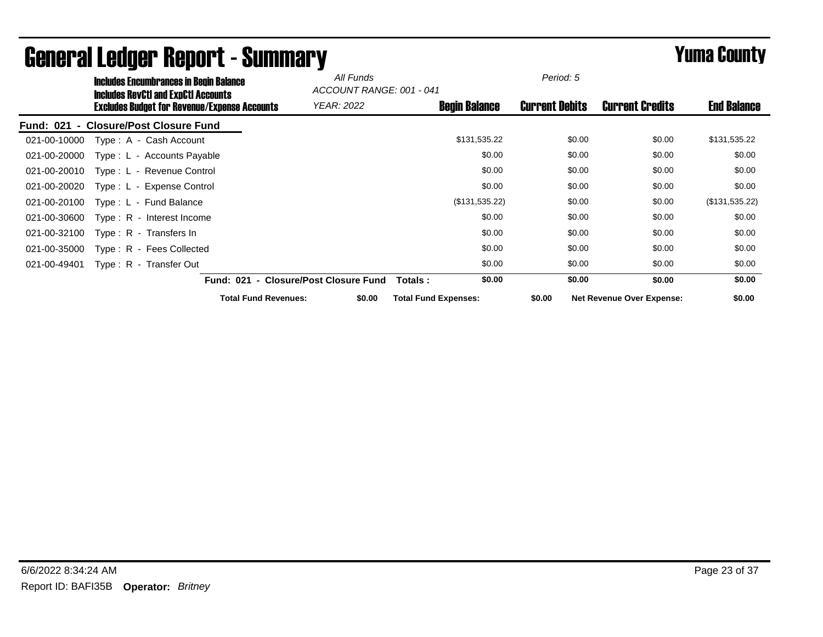|                                    | <b>Includes Encumbrances in Begin Balance</b>                                                     |                                       | All Funds<br>ACCOUNT RANGE: 001 - 041 |                             | Period: 5             |                                  |                    |
|------------------------------------|---------------------------------------------------------------------------------------------------|---------------------------------------|---------------------------------------|-----------------------------|-----------------------|----------------------------------|--------------------|
|                                    | <b>Includes RevCtI and ExpCtI Accounts</b><br><b>Excludes Budget for Revenue/Expense Accounts</b> |                                       | <b>YEAR: 2022</b>                     | <b>Begin Balance</b>        | <b>Current Debits</b> | <b>Current Credits</b>           | <b>End Balance</b> |
| <b>Fund: 021</b><br>$\blacksquare$ | <b>Closure/Post Closure Fund</b>                                                                  |                                       |                                       |                             |                       |                                  |                    |
| 021-00-10000                       | Type: A - Cash Account                                                                            |                                       |                                       | \$131,535.22                | \$0.00                | \$0.00                           | \$131,535.22       |
| 021-00-20000                       | Type: L - Accounts Payable                                                                        |                                       |                                       | \$0.00                      | \$0.00                | \$0.00                           | \$0.00             |
| 021-00-20010                       | Type: L - Revenue Control                                                                         |                                       |                                       | \$0.00                      | \$0.00                | \$0.00                           | \$0.00             |
| 021-00-20020                       | Type: L - Expense Control                                                                         |                                       |                                       | \$0.00                      | \$0.00                | \$0.00                           | \$0.00             |
| 021-00-20100                       | Type: L - Fund Balance                                                                            |                                       |                                       | (\$131,535.22)              | \$0.00                | \$0.00                           | (\$131,535.22)     |
| 021-00-30600                       | $Type: R - Interest Income$                                                                       |                                       |                                       | \$0.00                      | \$0.00                | \$0.00                           | \$0.00             |
| 021-00-32100                       | Type: $R -$ Transfers In                                                                          |                                       |                                       | \$0.00                      | \$0.00                | \$0.00                           | \$0.00             |
| 021-00-35000                       | Type: R - Fees Collected                                                                          |                                       |                                       | \$0.00                      | \$0.00                | \$0.00                           | \$0.00             |
| 021-00-49401                       | Type: R - Transfer Out                                                                            |                                       |                                       | \$0.00                      | \$0.00                | \$0.00                           | \$0.00             |
|                                    |                                                                                                   | Fund: 021 - Closure/Post Closure Fund |                                       | \$0.00<br>Totals :          | \$0.00                | \$0.00                           | \$0.00             |
|                                    |                                                                                                   | <b>Total Fund Revenues:</b>           | \$0.00                                | <b>Total Fund Expenses:</b> | \$0.00                | <b>Net Revenue Over Expense:</b> | \$0.00             |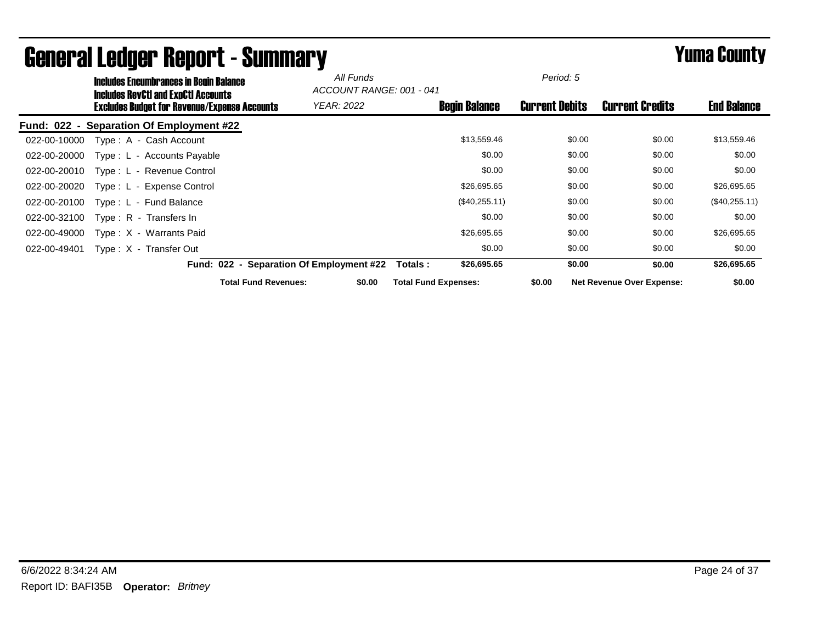|              | <b>Includes Encumbrances in Begin Balance</b><br><b>Includes RevCtI and ExpCtI Accounts</b> |                                          | All Funds<br>ACCOUNT RANGE: 001 - 041 |                             | Period: 5             |                                  |                    |
|--------------|---------------------------------------------------------------------------------------------|------------------------------------------|---------------------------------------|-----------------------------|-----------------------|----------------------------------|--------------------|
|              | <b>Excludes Budget for Revenue/Expense Accounts</b>                                         |                                          | <b>YEAR: 2022</b>                     | <b>Begin Balance</b>        | <b>Current Debits</b> | <b>Current Credits</b>           | <b>End Balance</b> |
|              | Fund: 022 - Separation Of Employment #22                                                    |                                          |                                       |                             |                       |                                  |                    |
| 022-00-10000 | Type: A - Cash Account                                                                      |                                          |                                       | \$13,559.46                 | \$0.00                | \$0.00                           | \$13,559.46        |
| 022-00-20000 | Type: L - Accounts Payable                                                                  |                                          |                                       | \$0.00                      | \$0.00                | \$0.00                           | \$0.00             |
| 022-00-20010 | Type: L - Revenue Control                                                                   |                                          |                                       | \$0.00                      | \$0.00                | \$0.00                           | \$0.00             |
| 022-00-20020 | Type: L - Expense Control                                                                   |                                          |                                       | \$26,695.65                 | \$0.00                | \$0.00                           | \$26,695.65        |
| 022-00-20100 | Type: L - Fund Balance                                                                      |                                          |                                       | (\$40,255.11)               | \$0.00                | \$0.00                           | (\$40,255.11)      |
| 022-00-32100 | Type: R - Transfers In                                                                      |                                          |                                       | \$0.00                      | \$0.00                | \$0.00                           | \$0.00             |
| 022-00-49000 | Type: X - Warrants Paid                                                                     |                                          |                                       | \$26,695.65                 | \$0.00                | \$0.00                           | \$26,695.65        |
| 022-00-49401 | Type: X - Transfer Out                                                                      |                                          |                                       | \$0.00                      | \$0.00                | \$0.00                           | \$0.00             |
|              |                                                                                             | Fund: 022 - Separation Of Employment #22 |                                       | \$26,695.65<br>Totals :     | \$0.00                | \$0.00                           | \$26,695.65        |
|              |                                                                                             | <b>Total Fund Revenues:</b>              | \$0.00                                | <b>Total Fund Expenses:</b> | \$0.00                | <b>Net Revenue Over Expense:</b> | \$0.00             |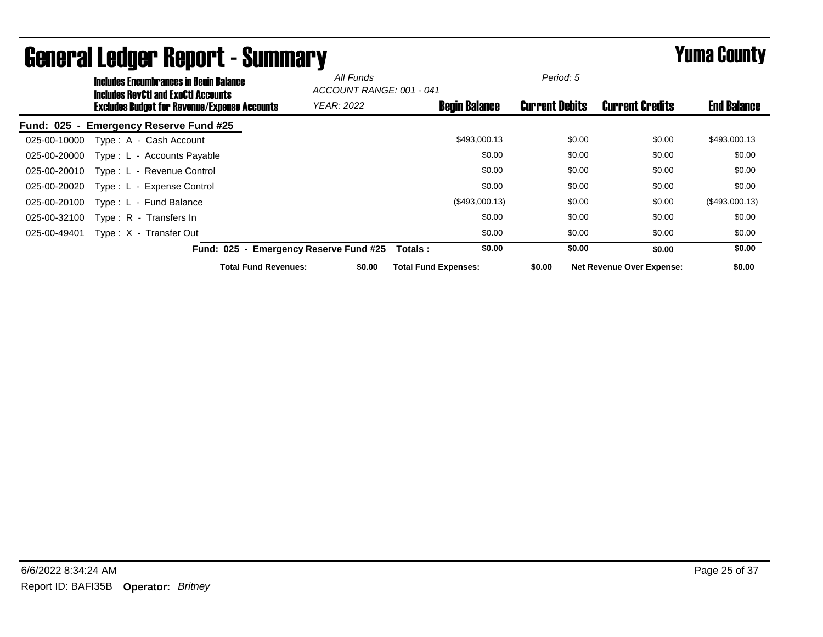|                  | <b>Includes Encumbrances in Begin Balance</b><br><b>Includes RevCtI and ExpCtI Accounts</b> |                                             | All Funds<br>ACCOUNT RANGE: 001 - 041 |                             |                | Period: 5             |                                  |                    |
|------------------|---------------------------------------------------------------------------------------------|---------------------------------------------|---------------------------------------|-----------------------------|----------------|-----------------------|----------------------------------|--------------------|
|                  | Excludes Budget for Revenue/Expense Accounts                                                |                                             | <b>YEAR: 2022</b>                     | <b>Begin Balance</b>        |                | <b>Current Debits</b> | <b>Current Credits</b>           | <b>End Balance</b> |
| <b>Fund: 025</b> | <b>Emergency Reserve Fund #25</b>                                                           |                                             |                                       |                             |                |                       |                                  |                    |
| 025-00-10000     | Type: A - Cash Account                                                                      |                                             |                                       |                             | \$493,000.13   | \$0.00                | \$0.00                           | \$493,000.13       |
| 025-00-20000     | Type: L - Accounts Payable                                                                  |                                             |                                       |                             | \$0.00         | \$0.00                | \$0.00                           | \$0.00             |
| 025-00-20010     | Type: L - Revenue Control                                                                   |                                             |                                       |                             | \$0.00         | \$0.00                | \$0.00                           | \$0.00             |
| 025-00-20020     | Type: L - Expense Control                                                                   |                                             |                                       |                             | \$0.00         | \$0.00                | \$0.00                           | \$0.00             |
| 025-00-20100     | Type: L - Fund Balance                                                                      |                                             |                                       |                             | (\$493,000.13) | \$0.00                | \$0.00                           | (\$493,000.13)     |
| 025-00-32100     | Type: R - Transfers In                                                                      |                                             |                                       |                             | \$0.00         | \$0.00                | \$0.00                           | \$0.00             |
| 025-00-49401     | Type: X - Transfer Out                                                                      |                                             |                                       |                             | \$0.00         | \$0.00                | \$0.00                           | \$0.00             |
|                  | <b>Fund: 025</b>                                                                            | <b>Emergency Reserve Fund #25</b><br>$\sim$ |                                       | Totals :                    | \$0.00         | \$0.00                | \$0.00                           | \$0.00             |
|                  |                                                                                             | <b>Total Fund Revenues:</b>                 | \$0.00                                | <b>Total Fund Expenses:</b> |                | \$0.00                | <b>Net Revenue Over Expense:</b> | \$0.00             |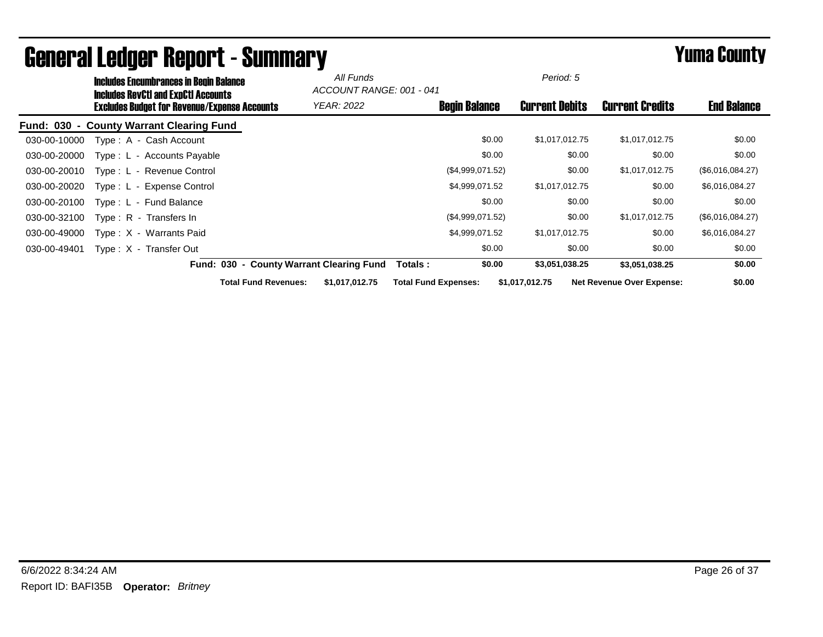|              | <b>Includes Encumbrances in Begin Balance</b><br><b>Includes RevCtI and ExpCtI Accounts</b> |                                          | All Funds<br>ACCOUNT RANGE: 001 - 041 |                             | Period: 5                |        |                                  |                    |
|--------------|---------------------------------------------------------------------------------------------|------------------------------------------|---------------------------------------|-----------------------------|--------------------------|--------|----------------------------------|--------------------|
|              | <b>Excludes Budget for Revenue/Expense Accounts</b>                                         |                                          | <b>YEAR: 2022</b>                     | <b>Begin Balance</b>        | <b>Current Debits</b>    |        | <b>Current Credits</b>           | <b>End Balance</b> |
|              | Fund: 030 - County Warrant Clearing Fund                                                    |                                          |                                       |                             |                          |        |                                  |                    |
| 030-00-10000 | Type: A - Cash Account                                                                      |                                          |                                       |                             | \$0.00<br>\$1,017,012.75 |        | \$1,017,012.75                   | \$0.00             |
| 030-00-20000 | Type: L - Accounts Payable                                                                  |                                          |                                       |                             | \$0.00                   | \$0.00 | \$0.00                           | \$0.00             |
| 030-00-20010 | Type: L - Revenue Control                                                                   |                                          |                                       | (\$4,999,071.52)            |                          | \$0.00 | \$1,017,012.75                   | (\$6,016,084.27)   |
| 030-00-20020 | Type: L - Expense Control                                                                   |                                          |                                       | \$4,999,071.52              | \$1,017,012.75           |        | \$0.00                           | \$6,016,084.27     |
| 030-00-20100 | Type: L - Fund Balance                                                                      |                                          |                                       |                             | \$0.00                   | \$0.00 | \$0.00                           | \$0.00             |
| 030-00-32100 | Type: R - Transfers In                                                                      |                                          |                                       | (\$4,999,071.52)            |                          | \$0.00 | \$1,017,012.75                   | (\$6,016,084.27)   |
| 030-00-49000 | Type: X - Warrants Paid                                                                     |                                          |                                       | \$4,999,071.52              | \$1,017,012.75           |        | \$0.00                           | \$6,016,084.27     |
| 030-00-49401 | Type: X - Transfer Out                                                                      |                                          |                                       |                             | \$0.00                   | \$0.00 | \$0.00                           | \$0.00             |
|              |                                                                                             | Fund: 030 - County Warrant Clearing Fund |                                       | Totals :                    | \$0.00<br>\$3,051,038.25 |        | \$3,051,038.25                   | \$0.00             |
|              |                                                                                             | <b>Total Fund Revenues:</b>              | \$1,017,012.75                        | <b>Total Fund Expenses:</b> | \$1,017,012.75           |        | <b>Net Revenue Over Expense:</b> | \$0.00             |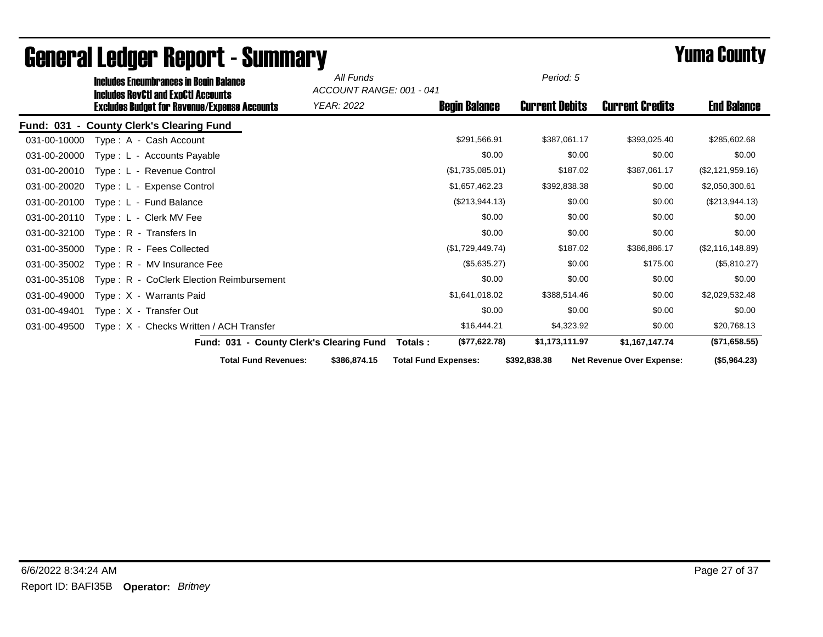|              | <b>Includes Encumbrances in Begin Balance</b><br><b>Includes RevCtI and ExpCtI Accounts</b> |                                          | All Funds<br>ACCOUNT RANGE: 001 - 041 |                             | Period: 5             |                                  |                    |
|--------------|---------------------------------------------------------------------------------------------|------------------------------------------|---------------------------------------|-----------------------------|-----------------------|----------------------------------|--------------------|
|              | <b>Excludes Budget for Revenue/Expense Accounts</b>                                         |                                          | YEAR: 2022                            | <b>Begin Balance</b>        | <b>Current Debits</b> | <b>Current Credits</b>           | <b>End Balance</b> |
|              | Fund: 031 - County Clerk's Clearing Fund                                                    |                                          |                                       |                             |                       |                                  |                    |
| 031-00-10000 | Type: A - Cash Account                                                                      |                                          |                                       | \$291,566.91                | \$387,061.17          | \$393,025.40                     | \$285,602.68       |
| 031-00-20000 | Type: L - Accounts Payable                                                                  |                                          |                                       | \$0.00                      | \$0.00                | \$0.00                           | \$0.00             |
| 031-00-20010 | Type: L - Revenue Control                                                                   |                                          |                                       | (\$1,735,085.01)            | \$187.02              | \$387,061.17                     | (\$2,121,959.16)   |
| 031-00-20020 | Type: L - Expense Control                                                                   |                                          |                                       | \$1,657,462.23              | \$392,838.38          | \$0.00                           | \$2,050,300.61     |
| 031-00-20100 | Type: L - Fund Balance                                                                      |                                          |                                       | (\$213,944.13)              | \$0.00                | \$0.00                           | (\$213,944.13)     |
| 031-00-20110 | Type: L - Clerk MV Fee                                                                      |                                          |                                       | \$0.00                      | \$0.00                | \$0.00                           | \$0.00             |
| 031-00-32100 | Type: R - Transfers In                                                                      |                                          |                                       | \$0.00                      | \$0.00                | \$0.00                           | \$0.00             |
| 031-00-35000 | Type: R - Fees Collected                                                                    |                                          |                                       | (\$1,729,449.74)            | \$187.02              | \$386,886.17                     | (\$2,116,148.89)   |
| 031-00-35002 | Type: R - MV Insurance Fee                                                                  |                                          |                                       | (\$5,635.27)                | \$0.00                | \$175.00                         | (\$5,810.27)       |
| 031-00-35108 | Type: R - CoClerk Election Reimbursement                                                    |                                          |                                       | \$0.00                      | \$0.00                | \$0.00                           | \$0.00             |
| 031-00-49000 | Type: X - Warrants Paid                                                                     |                                          |                                       | \$1,641,018.02              | \$388,514.46          | \$0.00                           | \$2,029,532.48     |
| 031-00-49401 | Type: X - Transfer Out                                                                      |                                          |                                       | \$0.00                      | \$0.00                | \$0.00                           | \$0.00             |
| 031-00-49500 | Type: X - Checks Written / ACH Transfer                                                     |                                          |                                       | \$16,444.21                 | \$4,323.92            | \$0.00                           | \$20,768.13        |
|              |                                                                                             | Fund: 031 - County Clerk's Clearing Fund |                                       | (\$77,622.78)<br>Totals:    | \$1,173,111.97        | \$1,167,147.74                   | (\$71,658.55)      |
|              |                                                                                             | <b>Total Fund Revenues:</b>              | \$386,874.15                          | <b>Total Fund Expenses:</b> | \$392,838.38          | <b>Net Revenue Over Expense:</b> | (\$5,964.23)       |

## General Ledger Report - Summary **Example 2008** Summary **Prime County**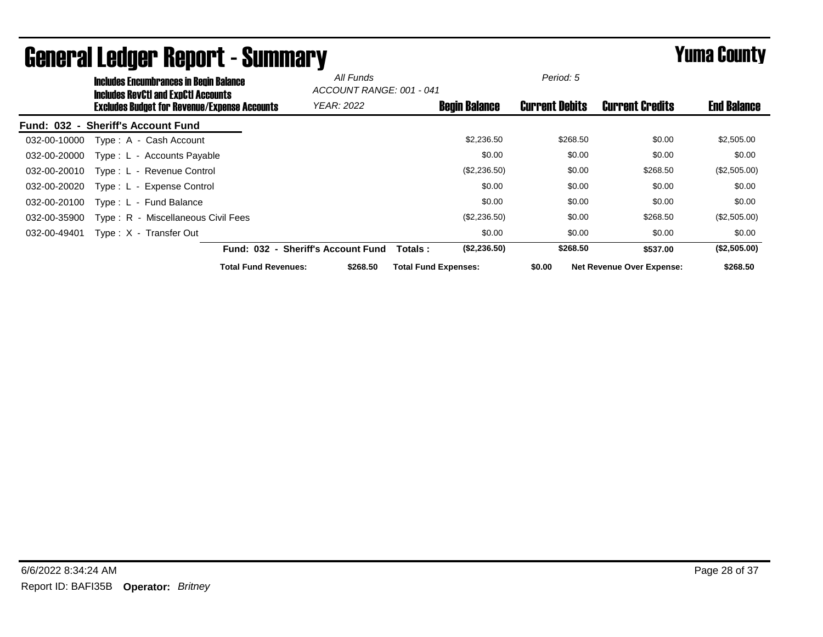|              | <b>Includes Encumbrances in Begin Balance</b><br><b>Includes RevCtI and ExpCtI Accounts</b> |                                    | All Funds<br>ACCOUNT RANGE: 001 - 041 |                             |                      | Period: 5             |                                  |                    |
|--------------|---------------------------------------------------------------------------------------------|------------------------------------|---------------------------------------|-----------------------------|----------------------|-----------------------|----------------------------------|--------------------|
|              | Excludes Budget for Revenue/Expense Accounts                                                |                                    | <b>YEAR: 2022</b>                     |                             | <b>Begin Balance</b> | <b>Current Debits</b> | <b>Current Credits</b>           | <b>End Balance</b> |
|              | Fund: 032 - Sheriff's Account Fund                                                          |                                    |                                       |                             |                      |                       |                                  |                    |
| 032-00-10000 | Type: A - Cash Account                                                                      |                                    |                                       |                             | \$2,236.50           | \$268.50              | \$0.00                           | \$2,505.00         |
| 032-00-20000 | Type: L - Accounts Payable                                                                  |                                    |                                       |                             | \$0.00               | \$0.00                | \$0.00                           | \$0.00             |
| 032-00-20010 | Type: L - Revenue Control                                                                   |                                    |                                       |                             | (\$2,236.50)         | \$0.00                | \$268.50                         | (\$2,505.00)       |
| 032-00-20020 | Type: L - Expense Control                                                                   |                                    |                                       |                             | \$0.00               | \$0.00                | \$0.00                           | \$0.00             |
| 032-00-20100 | Type: L - Fund Balance                                                                      |                                    |                                       |                             | \$0.00               | \$0.00                | \$0.00                           | \$0.00             |
| 032-00-35900 | Type: R - Miscellaneous Civil Fees                                                          |                                    |                                       |                             | (\$2,236.50)         | \$0.00                | \$268.50                         | (\$2,505.00)       |
| 032-00-49401 | Type: X - Transfer Out                                                                      |                                    |                                       |                             | \$0.00               | \$0.00                | \$0.00                           | \$0.00             |
|              |                                                                                             | Fund: 032 - Sheriff's Account Fund |                                       | Totals :                    | (\$2,236.50)         | \$268.50              | \$537.00                         | (\$2,505.00)       |
|              |                                                                                             | <b>Total Fund Revenues:</b>        | \$268.50                              | <b>Total Fund Expenses:</b> |                      | \$0.00                | <b>Net Revenue Over Expense:</b> | \$268.50           |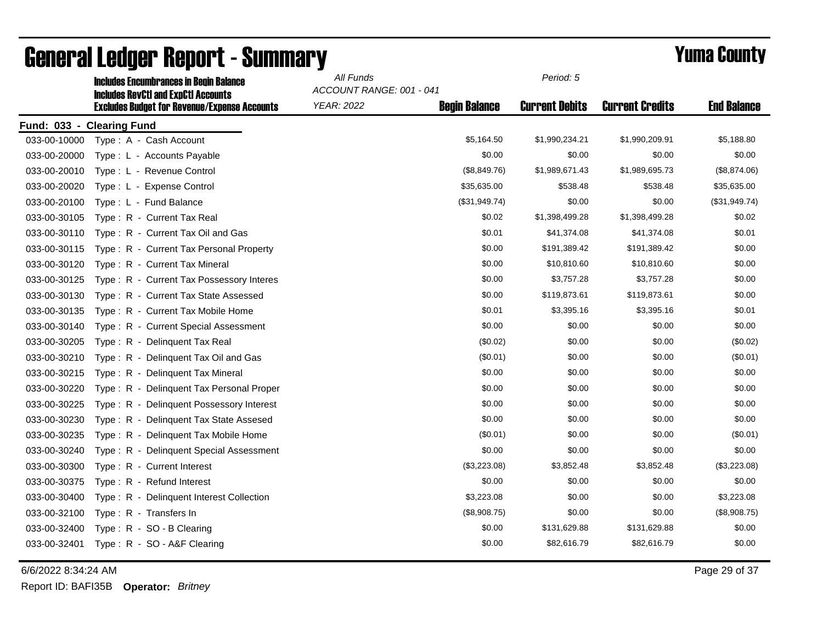|                           | <b>Includes Encumbrances in Begin Balance</b><br><b>Includes RevCtI and ExpCtI Accounts</b> | All Funds<br>ACCOUNT RANGE: 001 - 041 |                      | Period: 5             |                        |                    |
|---------------------------|---------------------------------------------------------------------------------------------|---------------------------------------|----------------------|-----------------------|------------------------|--------------------|
|                           | <b>Excludes Budget for Revenue/Expense Accounts</b>                                         | <b>YEAR: 2022</b>                     | <b>Begin Balance</b> | <b>Current Debits</b> | <b>Current Credits</b> | <b>End Balance</b> |
| Fund: 033 - Clearing Fund |                                                                                             |                                       |                      |                       |                        |                    |
| 033-00-10000              | Type: A - Cash Account                                                                      |                                       | \$5,164.50           | \$1,990,234.21        | \$1,990,209.91         | \$5,188.80         |
| 033-00-20000              | Type: L - Accounts Payable                                                                  |                                       | \$0.00               | \$0.00                | \$0.00                 | \$0.00             |
| 033-00-20010              | Type: L - Revenue Control                                                                   |                                       | (\$8,849.76)         | \$1,989,671.43        | \$1,989,695.73         | (\$8,874.06)       |
| 033-00-20020              | Type: L - Expense Control                                                                   |                                       | \$35,635.00          | \$538.48              | \$538.48               | \$35,635.00        |
| 033-00-20100              | Type: L - Fund Balance                                                                      |                                       | (\$31,949.74)        | \$0.00                | \$0.00                 | (\$31,949.74)      |
| 033-00-30105              | Type: R - Current Tax Real                                                                  |                                       | \$0.02               | \$1,398,499.28        | \$1,398,499.28         | \$0.02             |
| 033-00-30110              | Type: R - Current Tax Oil and Gas                                                           |                                       | \$0.01               | \$41,374.08           | \$41,374.08            | \$0.01             |
| 033-00-30115              | Type: R - Current Tax Personal Property                                                     |                                       | \$0.00               | \$191,389.42          | \$191,389.42           | \$0.00             |
| 033-00-30120              | Type: R - Current Tax Mineral                                                               |                                       | \$0.00               | \$10,810.60           | \$10,810.60            | \$0.00             |
| 033-00-30125              | Type: R - Current Tax Possessory Interes                                                    |                                       | \$0.00               | \$3,757.28            | \$3,757.28             | \$0.00             |
| 033-00-30130              | Type: R - Current Tax State Assessed                                                        |                                       | \$0.00               | \$119,873.61          | \$119,873.61           | \$0.00             |
| 033-00-30135              | Type: R - Current Tax Mobile Home                                                           |                                       | \$0.01               | \$3,395.16            | \$3,395.16             | \$0.01             |
| 033-00-30140              | Type: R - Current Special Assessment                                                        |                                       | \$0.00               | \$0.00                | \$0.00                 | \$0.00             |
| 033-00-30205              | Type: R - Delinguent Tax Real                                                               |                                       | (\$0.02)             | \$0.00                | \$0.00                 | (\$0.02)           |
| 033-00-30210              | Type: R - Delinquent Tax Oil and Gas                                                        |                                       | (\$0.01)             | \$0.00                | \$0.00                 | (\$0.01)           |
| 033-00-30215              | Type: R - Delinguent Tax Mineral                                                            |                                       | \$0.00               | \$0.00                | \$0.00                 | \$0.00             |
| 033-00-30220              | Type: R - Delinquent Tax Personal Proper                                                    |                                       | \$0.00               | \$0.00                | \$0.00                 | \$0.00             |
| 033-00-30225              | Type: R - Delinguent Possessory Interest                                                    |                                       | \$0.00               | \$0.00                | \$0.00                 | \$0.00             |
| 033-00-30230              | Type: R - Delinquent Tax State Assesed                                                      |                                       | \$0.00               | \$0.00                | \$0.00                 | \$0.00             |
| 033-00-30235              | Type: R - Delinquent Tax Mobile Home                                                        |                                       | (\$0.01)             | \$0.00                | \$0.00                 | (\$0.01)           |
| 033-00-30240              | Type: R - Delinquent Special Assessment                                                     |                                       | \$0.00               | \$0.00                | \$0.00                 | \$0.00             |
| 033-00-30300              | Type: R - Current Interest                                                                  |                                       | (\$3,223.08)         | \$3,852.48            | \$3,852.48             | (\$3,223.08)       |
| 033-00-30375              | Type: R - Refund Interest                                                                   |                                       | \$0.00               | \$0.00                | \$0.00                 | \$0.00             |
| 033-00-30400              | Type: R - Delinquent Interest Collection                                                    |                                       | \$3,223.08           | \$0.00                | \$0.00                 | \$3,223.08         |
| 033-00-32100              | Type: R - Transfers In                                                                      |                                       | (\$8,908.75)         | \$0.00                | \$0.00                 | (\$8,908.75)       |
| 033-00-32400              | Type: R - SO - B Clearing                                                                   |                                       | \$0.00               | \$131,629.88          | \$131,629.88           | \$0.00             |
| 033-00-32401              | Type: R - SO - A&F Clearing                                                                 |                                       | \$0.00               | \$82,616.79           | \$82,616.79            | \$0.00             |

6/6/2022 8:34:24 AM Page 29 of 37

Report ID: BAFI35B **Operator:** *Britney*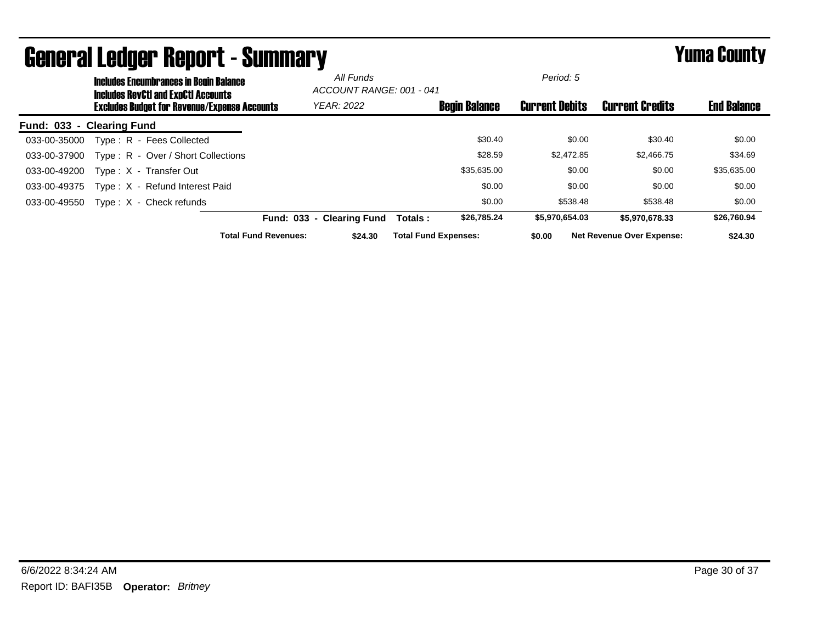|                  |                 | <b>Includes Encumbrances in Begin Balance</b><br><b>Includes RevCtI and ExpCtI Accounts</b> |                             | All Funds<br>ACCOUNT RANGE: 001 - 041 |                             |                      | Period: 5             |                                  |                    |
|------------------|-----------------|---------------------------------------------------------------------------------------------|-----------------------------|---------------------------------------|-----------------------------|----------------------|-----------------------|----------------------------------|--------------------|
|                  |                 | <b>Excludes Budget for Revenue/Expense Accounts</b>                                         |                             | <b>YEAR: 2022</b>                     |                             | <b>Begin Balance</b> | <b>Current Debits</b> | <b>Current Credits</b>           | <b>End Balance</b> |
| <b>Fund: 033</b> | - Clearing Fund |                                                                                             |                             |                                       |                             |                      |                       |                                  |                    |
| 033-00-35000     |                 | Type: R - Fees Collected                                                                    |                             |                                       |                             | \$30.40              | \$0.00                | \$30.40                          | \$0.00             |
| 033-00-37900     |                 | Type: R - Over / Short Collections                                                          |                             |                                       |                             | \$28.59              | \$2,472.85            | \$2,466.75                       | \$34.69            |
| 033-00-49200     |                 | Type: X - Transfer Out                                                                      |                             |                                       |                             | \$35,635.00          | \$0.00                | \$0.00                           | \$35,635.00        |
| 033-00-49375     |                 | Type: X - Refund Interest Paid                                                              |                             |                                       |                             | \$0.00               | \$0.00                | \$0.00                           | \$0.00             |
| 033-00-49550     |                 | $Type: X - Check$ refunds                                                                   |                             |                                       |                             | \$0.00               | \$538.48              | \$538.48                         | \$0.00             |
|                  |                 |                                                                                             |                             | Fund: 033 - Clearing Fund             | Totals:                     | \$26,785.24          | \$5,970,654.03        | \$5.970.678.33                   | \$26,760.94        |
|                  |                 |                                                                                             | <b>Total Fund Revenues:</b> | \$24.30                               | <b>Total Fund Expenses:</b> |                      | \$0.00                | <b>Net Revenue Over Expense:</b> | \$24.30            |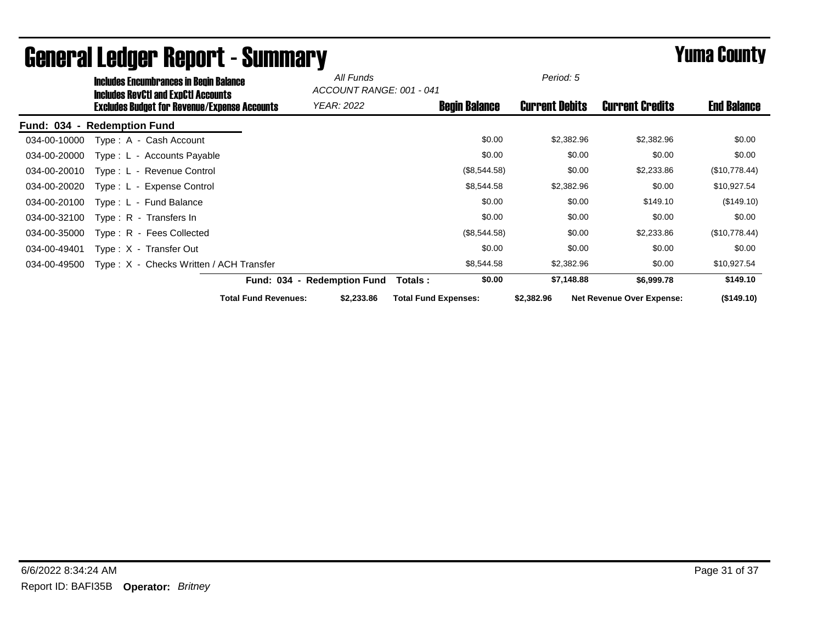|                                    | <b>Includes Encumbrances in Begin Balance</b>                                                     |                             | All Funds<br>ACCOUNT RANGE: 001 - 041 |                             | Period: 5             |                                  |                    |
|------------------------------------|---------------------------------------------------------------------------------------------------|-----------------------------|---------------------------------------|-----------------------------|-----------------------|----------------------------------|--------------------|
|                                    | <b>Includes RevCtI and ExpCtI Accounts</b><br><b>Excludes Budget for Revenue/Expense Accounts</b> |                             | <b>YEAR: 2022</b>                     | <b>Begin Balance</b>        | <b>Current Debits</b> | <b>Current Credits</b>           | <b>End Balance</b> |
| <b>Fund: 034</b><br>$\blacksquare$ | <b>Redemption Fund</b>                                                                            |                             |                                       |                             |                       |                                  |                    |
| 034-00-10000                       | Type: A - Cash Account                                                                            |                             |                                       | \$0.00                      | \$2,382.96            | \$2,382.96                       | \$0.00             |
| 034-00-20000                       | Type: L - Accounts Payable                                                                        |                             |                                       | \$0.00                      | \$0.00                | \$0.00                           | \$0.00             |
| 034-00-20010                       | Type: L - Revenue Control                                                                         |                             |                                       | (\$8,544.58)                | \$0.00                | \$2,233.86                       | (\$10,778.44)      |
| 034-00-20020                       | Type: L - Expense Control                                                                         |                             |                                       | \$8,544.58                  | \$2,382.96            | \$0.00                           | \$10,927.54        |
| 034-00-20100                       | Type: L - Fund Balance                                                                            |                             |                                       | \$0.00                      | \$0.00                | \$149.10                         | (\$149.10)         |
| 034-00-32100                       | Type: R - Transfers In                                                                            |                             |                                       | \$0.00                      | \$0.00                | \$0.00                           | \$0.00             |
| 034-00-35000                       | Type: R - Fees Collected                                                                          |                             |                                       | (\$8,544.58)                | \$0.00                | \$2,233.86                       | (\$10,778.44)      |
| 034-00-49401                       | Type: X - Transfer Out                                                                            |                             |                                       | \$0.00                      | \$0.00                | \$0.00                           | \$0.00             |
| 034-00-49500                       | Type: X - Checks Written / ACH Transfer                                                           |                             |                                       | \$8,544.58                  | \$2,382.96            | \$0.00                           | \$10,927.54        |
|                                    |                                                                                                   |                             | Fund: 034 - Redemption Fund           | \$0.00<br>Totals :          | \$7,148.88            | \$6,999.78                       | \$149.10           |
|                                    |                                                                                                   | <b>Total Fund Revenues:</b> | \$2,233.86                            | <b>Total Fund Expenses:</b> | \$2,382.96            | <b>Net Revenue Over Expense:</b> | (\$149.10)         |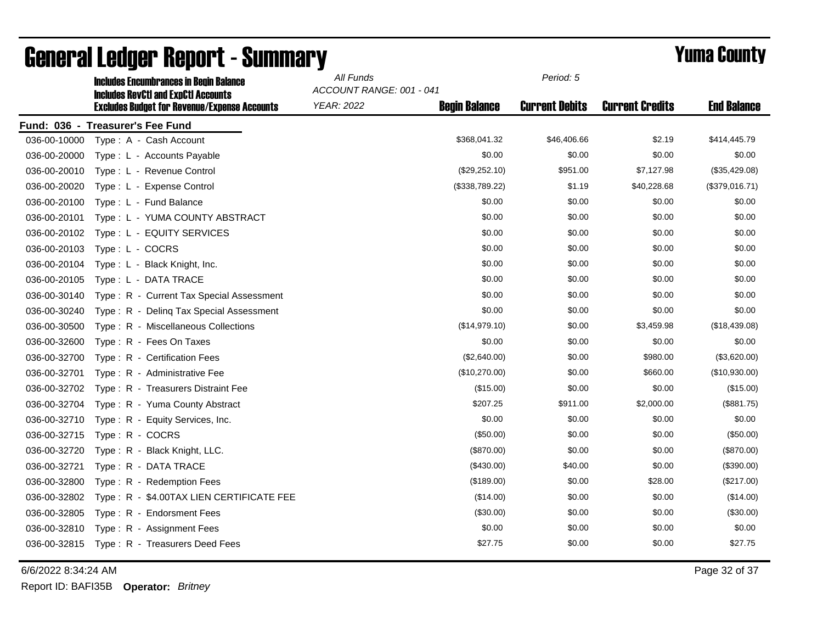|              | <b>Includes Encumbrances in Begin Balance</b><br><b>Includes RevCtI and ExpCtI Accounts</b> | All Funds<br>ACCOUNT RANGE: 001 - 041 | Period: 5            |                       |                        |                    |
|--------------|---------------------------------------------------------------------------------------------|---------------------------------------|----------------------|-----------------------|------------------------|--------------------|
|              | <b>Excludes Budget for Revenue/Expense Accounts</b>                                         | <b>YEAR: 2022</b>                     | <b>Begin Balance</b> | <b>Current Debits</b> | <b>Current Credits</b> | <b>End Balance</b> |
|              | Fund: 036 - Treasurer's Fee Fund                                                            |                                       |                      |                       |                        |                    |
| 036-00-10000 | Type: A - Cash Account                                                                      |                                       | \$368,041.32         | \$46,406.66           | \$2.19                 | \$414,445.79       |
| 036-00-20000 | Type: L - Accounts Payable                                                                  |                                       | \$0.00               | \$0.00                | \$0.00                 | \$0.00             |
| 036-00-20010 | Type: L - Revenue Control                                                                   |                                       | (\$29,252.10)        | \$951.00              | \$7,127.98             | (\$35,429.08)      |
| 036-00-20020 | Type: L - Expense Control                                                                   |                                       | (\$338,789.22)       | \$1.19                | \$40,228.68            | (\$379,016.71)     |
| 036-00-20100 | Type: L - Fund Balance                                                                      |                                       | \$0.00               | \$0.00                | \$0.00                 | \$0.00             |
| 036-00-20101 | Type: L - YUMA COUNTY ABSTRACT                                                              |                                       | \$0.00               | \$0.00                | \$0.00                 | \$0.00             |
| 036-00-20102 | Type: L - EQUITY SERVICES                                                                   |                                       | \$0.00               | \$0.00                | \$0.00                 | \$0.00             |
| 036-00-20103 | Type: L - COCRS                                                                             |                                       | \$0.00               | \$0.00                | \$0.00                 | \$0.00             |
| 036-00-20104 | Type: L - Black Knight, Inc.                                                                |                                       | \$0.00               | \$0.00                | \$0.00                 | \$0.00             |
| 036-00-20105 | Type: L - DATA TRACE                                                                        |                                       | \$0.00               | \$0.00                | \$0.00                 | \$0.00             |
| 036-00-30140 | Type: R - Current Tax Special Assessment                                                    |                                       | \$0.00               | \$0.00                | \$0.00                 | \$0.00             |
| 036-00-30240 | Type: R - Deling Tax Special Assessment                                                     |                                       | \$0.00               | \$0.00                | \$0.00                 | \$0.00             |
| 036-00-30500 | Type: R - Miscellaneous Collections                                                         |                                       | (\$14,979.10)        | \$0.00                | \$3,459.98             | (\$18,439.08)      |
| 036-00-32600 | Type: R - Fees On Taxes                                                                     |                                       | \$0.00               | \$0.00                | \$0.00                 | \$0.00             |
| 036-00-32700 | Type: R - Certification Fees                                                                |                                       | (\$2,640.00)         | \$0.00                | \$980.00               | (\$3,620.00)       |
| 036-00-32701 | Type: R - Administrative Fee                                                                |                                       | (\$10,270.00)        | \$0.00                | \$660.00               | (\$10,930.00)      |
| 036-00-32702 | Type: R - Treasurers Distraint Fee                                                          |                                       | (\$15.00)            | \$0.00                | \$0.00                 | (\$15.00)          |
| 036-00-32704 | Type: R - Yuma County Abstract                                                              |                                       | \$207.25             | \$911.00              | \$2,000.00             | (\$881.75)         |
| 036-00-32710 | Type: R - Equity Services, Inc.                                                             |                                       | \$0.00               | \$0.00                | \$0.00                 | \$0.00             |
| 036-00-32715 | Type: R - COCRS                                                                             |                                       | (\$50.00)            | \$0.00                | \$0.00                 | (\$50.00)          |
| 036-00-32720 | Type: R - Black Knight, LLC.                                                                |                                       | (\$870.00)           | \$0.00                | \$0.00                 | (\$870.00)         |
| 036-00-32721 | Type: R - DATA TRACE                                                                        |                                       | (\$430.00)           | \$40.00               | \$0.00                 | (\$390.00)         |
| 036-00-32800 | Type: R - Redemption Fees                                                                   |                                       | (\$189.00)           | \$0.00                | \$28.00                | (\$217.00)         |
| 036-00-32802 | Type: R - \$4.00TAX LIEN CERTIFICATE FEE                                                    |                                       | (\$14.00)            | \$0.00                | \$0.00                 | (\$14.00)          |
| 036-00-32805 | Type: R - Endorsment Fees                                                                   |                                       | (\$30.00)            | \$0.00                | \$0.00                 | (\$30.00)          |
| 036-00-32810 | Type: R - Assignment Fees                                                                   |                                       | \$0.00               | \$0.00                | \$0.00                 | \$0.00             |
| 036-00-32815 | Type: R - Treasurers Deed Fees                                                              |                                       | \$27.75              | \$0.00                | \$0.00                 | \$27.75            |

6/6/2022 8:34:24 AM Page 32 of 37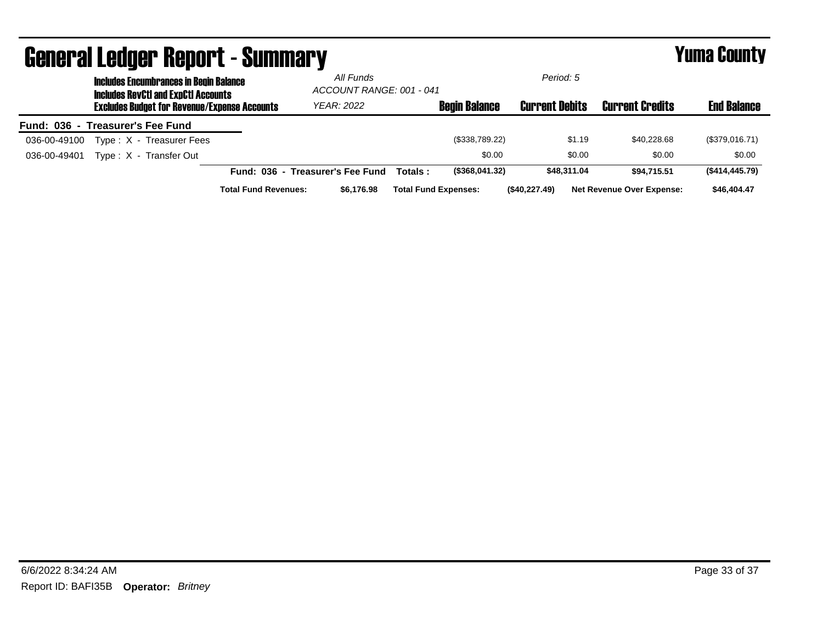|                                  |                                                                                             | <b>General Ledger Report - Summary</b>              |                             |                                       |          |                             |                       |                                  | <b>Yuma County</b> |
|----------------------------------|---------------------------------------------------------------------------------------------|-----------------------------------------------------|-----------------------------|---------------------------------------|----------|-----------------------------|-----------------------|----------------------------------|--------------------|
|                                  | <b>Includes Encumbrances in Begin Balance</b><br><b>Includes RevCtI and ExpCtI Accounts</b> |                                                     |                             | All Funds<br>ACCOUNT RANGE: 001 - 041 |          |                             | Period: 5             |                                  |                    |
|                                  |                                                                                             | <b>Excludes Budget for Revenue/Expense Accounts</b> |                             | <b>YEAR: 2022</b>                     |          | <b>Begin Balance</b>        | <b>Current Debits</b> | <b>Current Credits</b>           | <b>End Balance</b> |
| Fund: 036 - Treasurer's Fee Fund |                                                                                             |                                                     |                             |                                       |          |                             |                       |                                  |                    |
| 036-00-49100                     |                                                                                             | Type: X - Treasurer Fees                            |                             |                                       |          | (\$338,789.22)              | \$1.19                | \$40,228.68                      | (\$379,016.71)     |
| 036-00-49401                     |                                                                                             | Type: X - Transfer Out                              |                             |                                       |          | \$0.00                      | \$0.00                | \$0.00                           | \$0.00             |
|                                  |                                                                                             |                                                     |                             | Fund: 036 - Treasurer's Fee Fund      | Totals : | (\$368,041.32)              | \$48,311.04           | \$94.715.51                      | (\$414,445.79)     |
|                                  |                                                                                             |                                                     | <b>Total Fund Revenues:</b> | \$6,176.98                            |          | <b>Total Fund Expenses:</b> | (\$40,227.49)         | <b>Net Revenue Over Expense:</b> | \$46,404.47        |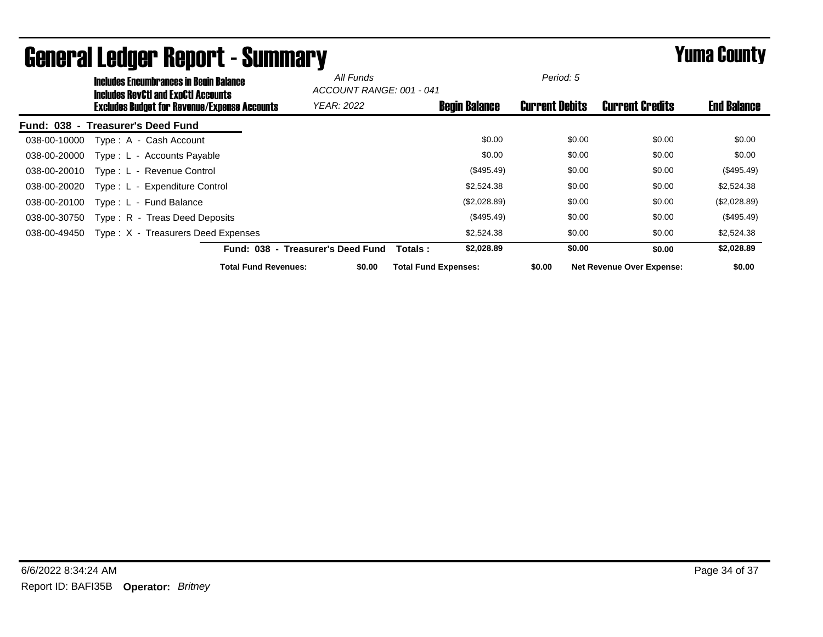|                                   |                           | <b>Includes Encumbrances in Begin Balance</b><br><b>Includes RevCtI and ExpCtI Accounts</b> | All Funds<br>ACCOUNT RANGE: 001 - 041 |                             | Period: 5             |                                  |                    |
|-----------------------------------|---------------------------|---------------------------------------------------------------------------------------------|---------------------------------------|-----------------------------|-----------------------|----------------------------------|--------------------|
|                                   |                           | <b>Excludes Budget for Revenue/Expense Accounts</b>                                         | <b>YEAR: 2022</b>                     | <b>Begin Balance</b>        | <b>Current Debits</b> | <b>Current Credits</b>           | <b>End Balance</b> |
| Fund: 038 - Treasurer's Deed Fund |                           |                                                                                             |                                       |                             |                       |                                  |                    |
| 038-00-10000                      | Type: A - Cash Account    |                                                                                             |                                       | \$0.00                      | \$0.00                | \$0.00                           | \$0.00             |
| 038-00-20000                      |                           | Type : L - Accounts Payable                                                                 |                                       | \$0.00                      | \$0.00                | \$0.00                           | \$0.00             |
| 038-00-20010                      | Type: L - Revenue Control |                                                                                             |                                       | (\$495.49)                  | \$0.00                | \$0.00                           | (\$495.49)         |
| 038-00-20020                      |                           | Type: L - Expenditure Control                                                               |                                       | \$2,524.38                  | \$0.00                | \$0.00                           | \$2,524.38         |
| 038-00-20100                      | Type: L - Fund Balance    |                                                                                             |                                       | (\$2,028.89)                | \$0.00                | \$0.00                           | (\$2,028.89)       |
| 038-00-30750                      |                           | Type: R - Treas Deed Deposits                                                               |                                       | (\$495.49)                  | \$0.00                | \$0.00                           | (\$495.49)         |
| 038-00-49450                      |                           | Type: X - Treasurers Deed Expenses                                                          |                                       | \$2,524.38                  | \$0.00                | \$0.00                           | \$2,524.38         |
|                                   |                           |                                                                                             | Fund: 038 - Treasurer's Deed Fund     | \$2,028.89<br>Totals :      | \$0.00                | \$0.00                           | \$2,028.89         |
|                                   |                           | <b>Total Fund Revenues:</b>                                                                 | \$0.00                                | <b>Total Fund Expenses:</b> | \$0.00                | <b>Net Revenue Over Expense:</b> | \$0.00             |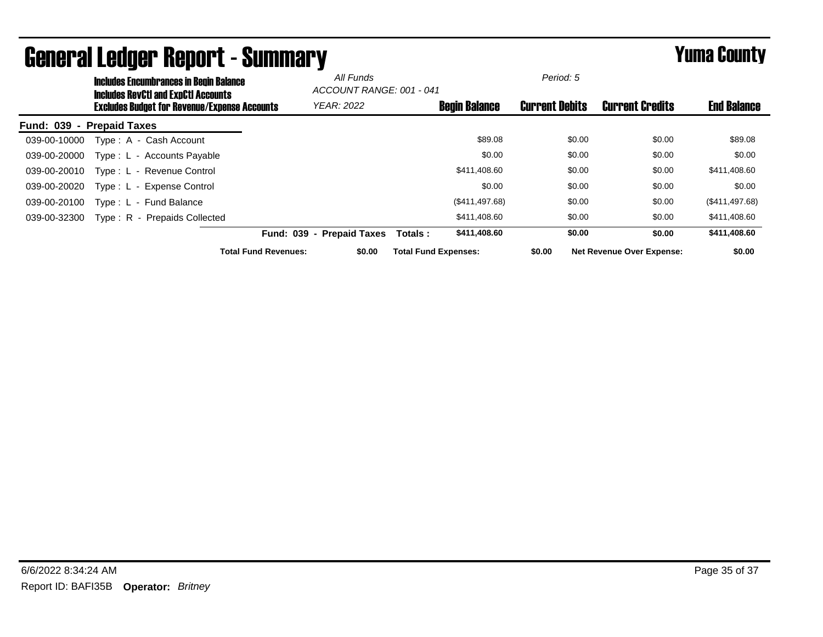|                           | <b>Includes Encumbrances in Begin Balance</b><br><b>Includes RevCtI and ExpCtI Accounts</b> |                             | All Funds<br>ACCOUNT RANGE: 001 - 041 |                             |                      | Period: 5             |                                  |                    |
|---------------------------|---------------------------------------------------------------------------------------------|-----------------------------|---------------------------------------|-----------------------------|----------------------|-----------------------|----------------------------------|--------------------|
|                           | <b>Excludes Budget for Revenue/Expense Accounts</b>                                         |                             | <b>YEAR: 2022</b>                     |                             | <b>Begin Balance</b> | <b>Current Debits</b> | <b>Current Credits</b>           | <b>End Balance</b> |
| Fund: 039 - Prepaid Taxes |                                                                                             |                             |                                       |                             |                      |                       |                                  |                    |
| 039-00-10000              | Type: A - Cash Account                                                                      |                             |                                       |                             | \$89.08              | \$0.00                | \$0.00                           | \$89.08            |
| 039-00-20000              | Type: L - Accounts Payable                                                                  |                             |                                       |                             | \$0.00               | \$0.00                | \$0.00                           | \$0.00             |
| 039-00-20010              | Type: L - Revenue Control                                                                   |                             |                                       |                             | \$411,408.60         | \$0.00                | \$0.00                           | \$411,408.60       |
| 039-00-20020              | Type: L - Expense Control                                                                   |                             |                                       |                             | \$0.00               | \$0.00                | \$0.00                           | \$0.00             |
| 039-00-20100              | Type: L - Fund Balance                                                                      |                             |                                       |                             | (\$411,497.68)       | \$0.00                | \$0.00                           | (\$411,497.68)     |
| 039-00-32300              | Type: R - Prepaids Collected                                                                |                             |                                       |                             | \$411,408.60         | \$0.00                | \$0.00                           | \$411,408.60       |
|                           |                                                                                             | <b>Fund: 039</b>            | - Prepaid Taxes                       | Totals:                     | \$411,408.60         | \$0.00                | \$0.00                           | \$411,408.60       |
|                           |                                                                                             | <b>Total Fund Revenues:</b> | \$0.00                                | <b>Total Fund Expenses:</b> |                      | \$0.00                | <b>Net Revenue Over Expense:</b> | \$0.00             |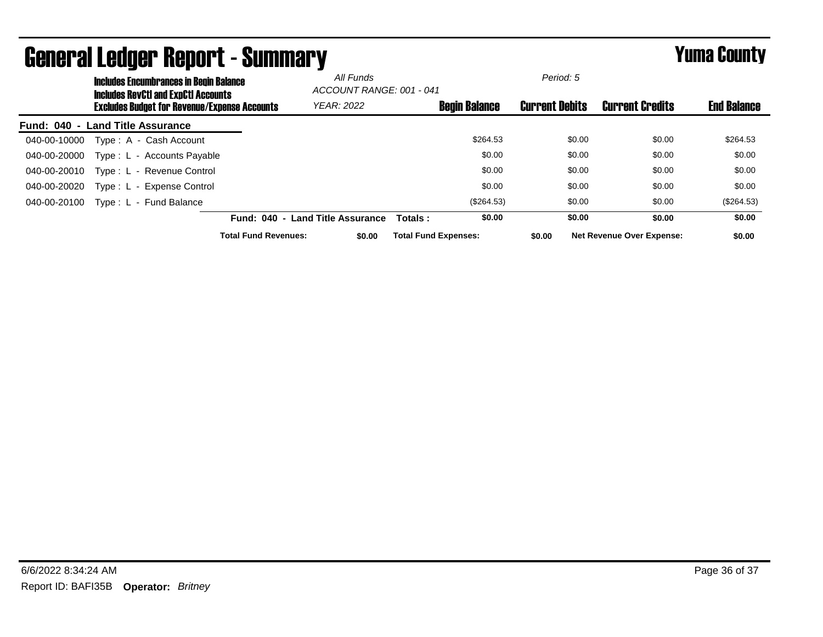| <b>Includes Encumbrances in Begin Balance</b><br><b>Includes RevCtI and ExpCtI Accounts</b> |                             | All Funds<br>ACCOUNT RANGE: 001 - 041 |                             |                      | Period: 5             |                                  |                    |
|---------------------------------------------------------------------------------------------|-----------------------------|---------------------------------------|-----------------------------|----------------------|-----------------------|----------------------------------|--------------------|
| <b>Excludes Budget for Revenue/Expense Accounts</b>                                         |                             | <b>YEAR: 2022</b>                     |                             | <b>Begin Balance</b> | <b>Current Debits</b> | <b>Current Credits</b>           | <b>End Balance</b> |
| - Land Title Assurance<br>Fund: 040                                                         |                             |                                       |                             |                      |                       |                                  |                    |
| Type: A - Cash Account<br>040-00-10000                                                      |                             |                                       |                             | \$264.53             | \$0.00                | \$0.00                           | \$264.53           |
| Type: L - Accounts Payable<br>040-00-20000                                                  |                             |                                       |                             | \$0.00               | \$0.00                | \$0.00                           | \$0.00             |
| Type: L - Revenue Control<br>040-00-20010                                                   |                             |                                       |                             | \$0.00               | \$0.00                | \$0.00                           | \$0.00             |
| 040-00-20020<br>Type: L - Expense Control                                                   |                             |                                       |                             | \$0.00               | \$0.00                | \$0.00                           | \$0.00             |
| 040-00-20100<br>Type: L - Fund Balance                                                      |                             |                                       |                             | (\$264.53)           | \$0.00                | \$0.00                           | (\$264.53)         |
|                                                                                             | <b>Fund: 040</b><br>$\sim$  | <b>Land Title Assurance</b>           | Totals:                     | \$0.00               | \$0.00                | \$0.00                           | \$0.00             |
|                                                                                             | <b>Total Fund Revenues:</b> | \$0.00                                | <b>Total Fund Expenses:</b> |                      | \$0.00                | <b>Net Revenue Over Expense:</b> | \$0.00             |